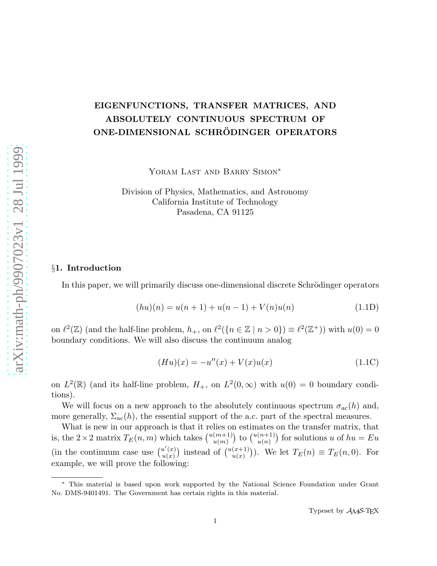## EIGENFUNCTIONS, TRANSFER MATRICES, AND ABSOLUTELY CONTINUOUS SPECTRUM OF ONE-DIMENSIONAL SCHRÖDINGER OPERATORS

YORAM LAST AND BARRY SIMON<sup>\*</sup>

Division of Physics, Mathematics, and Astronomy California Institute of Technology Pasadena, CA 91125

## §1. Introduction

In this paper, we will primarily discuss one-dimensional discrete Schrödinger operators

$$
(hu)(n) = u(n+1) + u(n-1) + V(n)u(n)
$$
\n(1.1D)

on  $\ell^2(\mathbb{Z})$  (and the half-line problem,  $h_+$ , on  $\ell^2(\lbrace n \in \mathbb{Z} \mid n > 0 \rbrace) \equiv \ell^2(\mathbb{Z}^+)$ ) with  $u(0) = 0$ boundary conditions. We will also discuss the continuum analog

$$
(Hu)(x) = -u''(x) + V(x)u(x)
$$
\n(1.1C)

on  $L^2(\mathbb{R})$  (and its half-line problem,  $H_+$ , on  $L^2(0,\infty)$  with  $u(0) = 0$  boundary conditions).

We will focus on a new approach to the absolutely continuous spectrum  $\sigma_{ac}(h)$  and, more generally,  $\Sigma_{ac}(h)$ , the essential support of the a.c. part of the spectral measures.

What is new in our approach is that it relies on estimates on the transfer matrix, that is, the  $2 \times 2$  matrix  $T_E(n,m)$  which takes  $\binom{u(m+1)}{u(m)}$  to  $\binom{u(n+1)}{u(n)}$  for solutions u of  $hu = Eu$ (in the continuum case use  $\binom{u'(x)}{u(x)}$  $\binom{u'(x)}{u(x)}$  instead of  $\binom{u(x+1)}{u(x)}$ . We let  $T_E(n) \equiv T_E(n,0)$ . For example, we will prove the following:

<sup>∗</sup> This material is based upon work supported by the National Science Foundation under Grant No. DMS-9401491. The Government has certain rights in this material.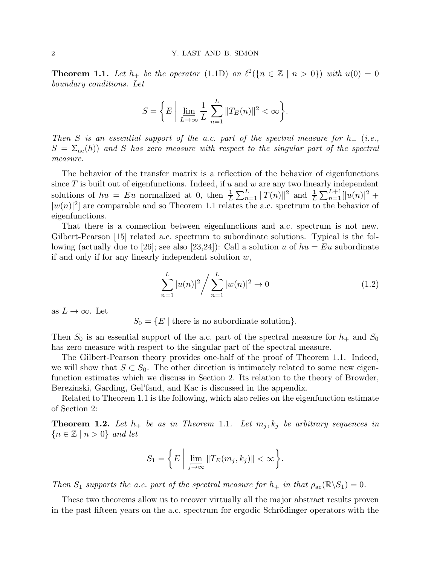**Theorem 1.1.** Let  $h_+$  be the operator (1.1D) on  $\ell^2(\lbrace n \in \mathbb{Z} \mid n > 0 \rbrace)$  with  $u(0) = 0$ boundary conditions. Let

$$
S = \left\{ E \mid \lim_{L \to \infty} \frac{1}{L} \sum_{n=1}^{L} ||T_E(n)||^2 < \infty \right\}.
$$

Then S is an essential support of the a.c. part of the spectral measure for  $h_+$  (i.e.,  $S = \Sigma_{\rm ac}(h)$  and S has zero measure with respect to the singular part of the spectral measure.

The behavior of the transfer matrix is a reflection of the behavior of eigenfunctions since  $T$  is built out of eigenfunctions. Indeed, if  $u$  and  $w$  are any two linearly independent solutions of  $hu = Eu$  normalized at 0, then  $\frac{1}{L}\sum_{n=1}^{L} ||T(n)||^2$  and  $\frac{1}{L}\sum_{n=1}^{L+1} ||u(n)|^2 +$  $|w(n)|^2$  are comparable and so Theorem 1.1 relates the a.c. spectrum to the behavior of eigenfunctions.

That there is a connection between eigenfunctions and a.c. spectrum is not new. Gilbert-Pearson [15] related a.c. spectrum to subordinate solutions. Typical is the following (actually due to [26]; see also [23,24]): Call a solution u of  $hu = Eu$  subordinate if and only if for any linearly independent solution  $w$ ,

$$
\sum_{n=1}^{L} |u(n)|^2 / \sum_{n=1}^{L} |w(n)|^2 \to 0
$$
\n(1.2)

as  $L \to \infty$ . Let

 $S_0 = \{E \mid \text{there is no subordinate solution}\}.$ 

Then  $S_0$  is an essential support of the a.c. part of the spectral measure for  $h_+$  and  $S_0$ has zero measure with respect to the singular part of the spectral measure.

The Gilbert-Pearson theory provides one-half of the proof of Theorem 1.1. Indeed, we will show that  $S \subset S_0$ . The other direction is intimately related to some new eigenfunction estimates which we discuss in Section 2. Its relation to the theory of Browder, Berezinski, Garding, Gel'fand, and Kac is discussed in the appendix.

Related to Theorem 1.1 is the following, which also relies on the eigenfunction estimate of Section 2:

**Theorem 1.2.** Let  $h_+$  be as in Theorem 1.1. Let  $m_j, k_j$  be arbitrary sequences in  ${n \in \mathbb{Z} \mid n > 0}$  and let

$$
S_1 = \left\{ E \mid \lim_{j \to \infty} ||T_E(m_j, k_j)|| < \infty \right\}.
$$

Then  $S_1$  supports the a.c. part of the spectral measure for  $h_+$  in that  $\rho_{ac}(\mathbb{R}\backslash S_1) = 0$ .

These two theorems allow us to recover virtually all the major abstract results proven in the past fifteen years on the a.c. spectrum for ergodic Schrödinger operators with the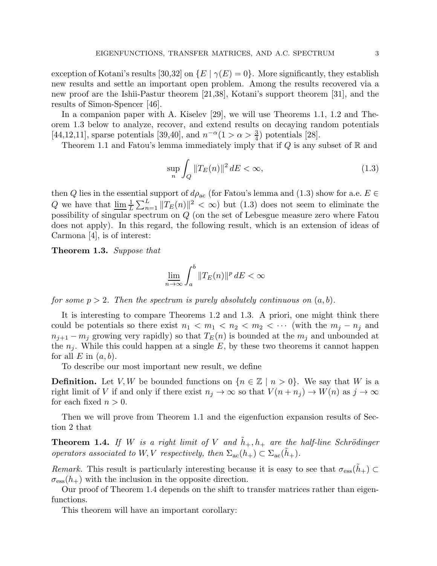exception of Kotani's results [30,32] on  $\{E \mid \gamma(E) = 0\}$ . More significantly, they establish new results and settle an important open problem. Among the results recovered via a new proof are the Ishii-Pastur theorem [21,38], Kotani's support theorem [31], and the results of Simon-Spencer [46].

In a companion paper with A. Kiselev [29], we will use Theorems 1.1, 1.2 and Theorem 1.3 below to analyze, recover, and extend results on decaying random potentials [44,12,11], sparse potentials [39,40], and  $n^{-\alpha}(1 > \alpha > \frac{3}{4})$  potentials [28].

Theorem 1.1 and Fatou's lemma immediately imply that if  $Q$  is any subset of  $\mathbb R$  and

$$
\sup_{n} \int_{Q} \|T_{E}(n)\|^{2} dE < \infty,
$$
\n(1.3)

then Q lies in the essential support of  $d\rho_{ac}$  (for Fatou's lemma and (1.3) show for a.e.  $E \in$ Q we have that  $\underline{\lim} \frac{1}{L} \sum_{n=1}^{L} ||T_E(n)||^2 < \infty$  but (1.3) does not seem to eliminate the possibility of singular spectrum on Q (on the set of Lebesgue measure zero where Fatou does not apply). In this regard, the following result, which is an extension of ideas of Carmona [4], is of interest:

Theorem 1.3. Suppose that

$$
\varliminf_{n\to\infty}\int_a^b\|T_E(n)\|^p\,dE<\infty
$$

for some  $p > 2$ . Then the spectrum is purely absolutely continuous on  $(a, b)$ .

It is interesting to compare Theorems 1.2 and 1.3. A priori, one might think there could be potentials so there exist  $n_1 < m_1 < n_2 < m_2 < \cdots$  (with the  $m_i - n_i$  and  $n_{i+1} - m_i$  growing very rapidly) so that  $T_E(n)$  is bounded at the  $m_i$  and unbounded at the  $n<sub>i</sub>$ . While this could happen at a single E, by these two theorems it cannot happen for all  $E$  in  $(a, b)$ .

To describe our most important new result, we define

**Definition.** Let V, W be bounded functions on  $\{n \in \mathbb{Z} \mid n > 0\}$ . We say that W is a right limit of V if and only if there exist  $n_j \to \infty$  so that  $V(n + n_j) \to W(n)$  as  $j \to \infty$ for each fixed  $n > 0$ .

Then we will prove from Theorem 1.1 and the eigenfuction expansion results of Section 2 that

**Theorem 1.4.** If W is a right limit of V and  $h_+, h_+$  are the half-line Schrödinger operators associated to W, V respectively, then  $\Sigma_{ac}(h_+) \subset \Sigma_{ac}(h_+)$ .

Remark. This result is particularly interesting because it is easy to see that  $\sigma_{\rm ess}(h_+) \subset$  $\sigma_{\rm ess}(h_+)$  with the inclusion in the opposite direction.

Our proof of Theorem 1.4 depends on the shift to transfer matrices rather than eigenfunctions.

This theorem will have an important corollary: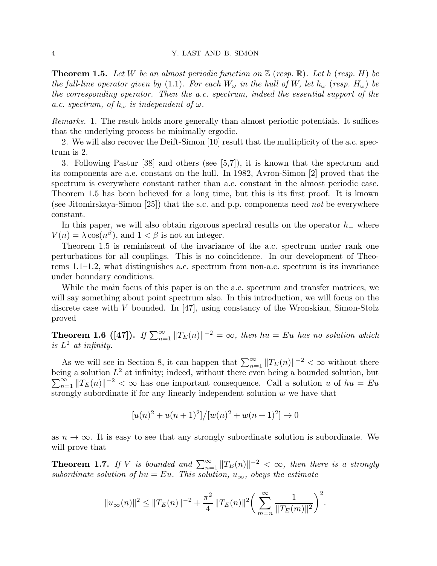**Theorem 1.5.** Let W be an almost periodic function on  $\mathbb{Z}$  (resp. R). Let h (resp. H) be the full-line operator given by (1.1). For each  $W_{\omega}$  in the hull of W, let  $h_{\omega}$  (resp.  $H_{\omega}$ ) be the corresponding operator. Then the a.c. spectrum, indeed the essential support of the a.c. spectrum, of  $h_{\omega}$  is independent of  $\omega$ .

Remarks. 1. The result holds more generally than almost periodic potentials. It suffices that the underlying process be minimally ergodic.

2. We will also recover the Deift-Simon [10] result that the multiplicity of the a.c. spectrum is 2.

3. Following Pastur [38] and others (see [5,7]), it is known that the spectrum and its components are a.e. constant on the hull. In 1982, Avron-Simon [2] proved that the spectrum is everywhere constant rather than a.e. constant in the almost periodic case. Theorem 1.5 has been believed for a long time, but this is its first proof. It is known (see Jitomirskaya-Simon [25]) that the s.c. and p.p. components need not be everywhere constant.

In this paper, we will also obtain rigorous spectral results on the operator  $h_{+}$  where  $V(n) = \lambda \cos(n^{\beta})$ , and  $1 < \beta$  is not an integer.

Theorem 1.5 is reminiscent of the invariance of the a.c. spectrum under rank one perturbations for all couplings. This is no coincidence. In our development of Theorems 1.1–1.2, what distinguishes a.c. spectrum from non-a.c. spectrum is its invariance under boundary conditions.

While the main focus of this paper is on the a.c. spectrum and transfer matrices, we will say something about point spectrum also. In this introduction, we will focus on the discrete case with V bounded. In [47], using constancy of the Wronskian, Simon-Stolz proved

**Theorem 1.6 ([47]).** If  $\sum_{n=1}^{\infty} ||T_E(n)||^{-2} = \infty$ , then  $hu = Eu$  has no solution which is  $L^2$  at infinity.

As we will see in Section 8, it can happen that  $\sum_{n=1}^{\infty} ||T_E(n)||^{-2} < \infty$  without there being a solution  $L^2$  at infinity; indeed, without there even being a bounded solution, but  $\sum_{n=1}^{\infty} ||T_E(n)||^{-2} < \infty$  has one important consequence. Call a solution u of  $hu = Eu$ strongly subordinate if for any linearly independent solution  $w$  we have that

$$
[u(n)^{2} + u(n+1)^{2}]/[w(n)^{2} + w(n+1)^{2}] \rightarrow 0
$$

as  $n \to \infty$ . It is easy to see that any strongly subordinate solution is subordinate. We will prove that

**Theorem 1.7.** If V is bounded and  $\sum_{n=1}^{\infty} ||T_E(n)||^{-2} < \infty$ , then there is a strongly subordinate solution of  $hu = Eu$ . This solution,  $u_{\infty}$ , obeys the estimate

$$
||u_{\infty}(n)||^{2} \leq ||T_{E}(n)||^{-2} + \frac{\pi^{2}}{4} ||T_{E}(n)||^{2} \bigg(\sum_{m=n}^{\infty} \frac{1}{||T_{E}(m)||^{2}}\bigg)^{2}.
$$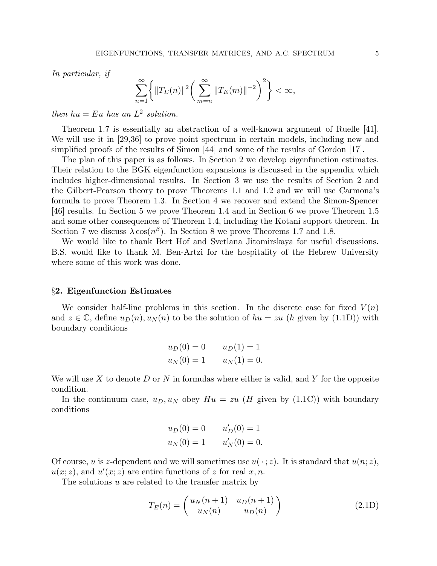In particular, if

$$
\sum_{n=1}^{\infty} \left\{ ||T_E(n)||^2 \left( \sum_{m=n}^{\infty} ||T_E(m)||^{-2} \right)^2 \right\} < \infty,
$$

then  $hu = Eu$  has an  $L^2$  solution.

Theorem 1.7 is essentially an abstraction of a well-known argument of Ruelle [41]. We will use it in [29,36] to prove point spectrum in certain models, including new and simplified proofs of the results of Simon [44] and some of the results of Gordon [17].

The plan of this paper is as follows. In Section 2 we develop eigenfunction estimates. Their relation to the BGK eigenfunction expansions is discussed in the appendix which includes higher-dimensional results. In Section 3 we use the results of Section 2 and the Gilbert-Pearson theory to prove Theorems 1.1 and 1.2 and we will use Carmona's formula to prove Theorem 1.3. In Section 4 we recover and extend the Simon-Spencer [46] results. In Section 5 we prove Theorem 1.4 and in Section 6 we prove Theorem 1.5 and some other consequences of Theorem 1.4, including the Kotani support theorem. In Section 7 we discuss  $\lambda \cos(n^{\beta})$ . In Section 8 we prove Theorems 1.7 and 1.8.

We would like to thank Bert Hof and Svetlana Jitomirskaya for useful discussions. B.S. would like to thank M. Ben-Artzi for the hospitality of the Hebrew University where some of this work was done.

#### §2. Eigenfunction Estimates

We consider half-line problems in this section. In the discrete case for fixed  $V(n)$ and  $z \in \mathbb{C}$ , define  $u_D(n), u_N(n)$  to be the solution of  $hu = zu$  (h given by (1.1D)) with boundary conditions

$$
u_D(0) = 0
$$
  $u_D(1) = 1$   
 $u_N(0) = 1$   $u_N(1) = 0.$ 

We will use X to denote D or N in formulas where either is valid, and Y for the opposite condition.

In the continuum case,  $u_D, u_N$  obey  $Hu = zu$  (H given by (1.1C)) with boundary conditions

$$
u_D(0) = 0
$$
  $u'_D(0) = 1$   
 $u_N(0) = 1$   $u'_N(0) = 0.$ 

Of course, u is z-dependent and we will sometimes use  $u(\cdot; z)$ . It is standard that  $u(n; z)$ ,  $u(x; z)$ , and  $u'(x; z)$  are entire functions of z for real  $x, n$ .

The solutions  $u$  are related to the transfer matrix by

$$
T_E(n) = \begin{pmatrix} u_N(n+1) & u_D(n+1) \\ u_N(n) & u_D(n) \end{pmatrix}
$$
 (2.1D)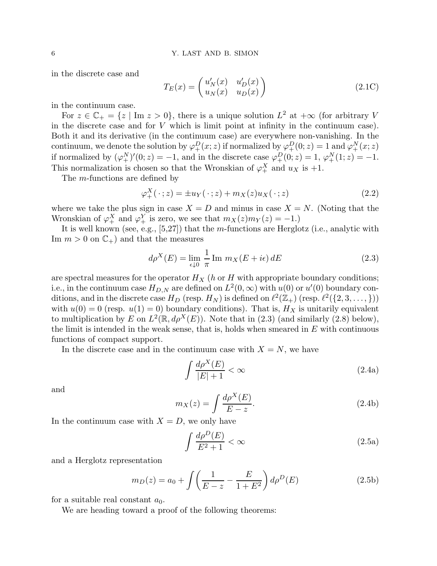in the discrete case and

$$
T_E(x) = \begin{pmatrix} u'_N(x) & u'_D(x) \\ u_N(x) & u_D(x) \end{pmatrix}
$$
 (2.1C)

in the continuum case.

For  $z \in \mathbb{C}_+ = \{z \mid \text{Im } z > 0\}$ , there is a unique solution  $L^2$  at  $+\infty$  (for arbitrary V in the discrete case and for  $V$  which is limit point at infinity in the continuum case). Both it and its derivative (in the continuum case) are everywhere non-vanishing. In the continuum, we denote the solution by  $\varphi_+^D(x;z)$  if normalized by  $\varphi_+^D(0;z) = 1$  and  $\varphi_+^N(x;z)$ if normalized by  $(\varphi^N_+)'(0; z) = -1$ , and in the discrete case  $\varphi^D_+(0; z) = 1$ ,  $\varphi^N_+(1; z) = -1$ . This normalization is chosen so that the Wronskian of  $\varphi_+^X$  and  $u_X$  is +1.

The m-functions are defined by

$$
\varphi_+^X(\,\cdot\,;z) = \pm u_Y(\,\cdot\,;z) + m_X(z)u_X(\,\cdot\,;z) \tag{2.2}
$$

where we take the plus sign in case  $X = D$  and minus in case  $X = N$ . (Noting that the Wronskian of  $\varphi_+^X$  and  $\varphi_+^Y$  is zero, we see that  $m_X(z)m_Y(z) = -1.$ 

It is well known (see, e.g., [5,27]) that the m-functions are Herglotz (i.e., analytic with Im  $m > 0$  on  $\mathbb{C}_+$ ) and that the measures

$$
d\rho^{X}(E) = \lim_{\epsilon \downarrow 0} \frac{1}{\pi} \operatorname{Im} m_{X}(E + i\epsilon) dE
$$
 (2.3)

are spectral measures for the operator  $H_X$  (h or H with appropriate boundary conditions; i.e., in the continuum case  $H_{D,N}$  are defined on  $L^2(0,\infty)$  with  $u(0)$  or  $u'(0)$  boundary conditions, and in the discrete case  $H_D$  (resp.  $H_N$ ) is defined on  $\ell^2(\mathbb{Z}_+)$  (resp.  $\ell^2(\{2,3,\ldots,\})$ ) with  $u(0) = 0$  (resp.  $u(1) = 0$ ) boundary conditions). That is,  $H_X$  is unitarily equivalent to multiplication by E on  $L^2(\mathbb{R}, d\rho^X(E))$ . Note that in (2.3) (and similarly (2.8) below), the limit is intended in the weak sense, that is, holds when smeared in  $E$  with continuous functions of compact support.

In the discrete case and in the continuum case with  $X = N$ , we have

$$
\int \frac{d\rho^X(E)}{|E|+1} < \infty \tag{2.4a}
$$

and

$$
m_X(z) = \int \frac{d\rho^X(E)}{E - z}.
$$
\n(2.4b)

In the continuum case with  $X = D$ , we only have

$$
\int \frac{d\rho^D(E)}{E^2 + 1} < \infty \tag{2.5a}
$$

and a Herglotz representation

$$
m_D(z) = a_0 + \int \left(\frac{1}{E - z} - \frac{E}{1 + E^2}\right) d\rho^D(E)
$$
 (2.5b)

for a suitable real constant  $a_0$ .

We are heading toward a proof of the following theorems: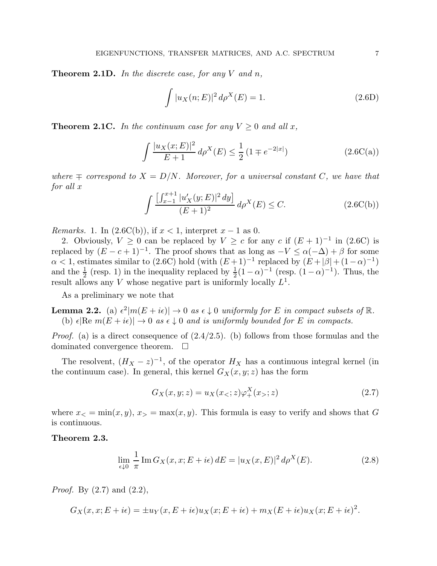**Theorem 2.1D.** In the discrete case, for any V and n,

$$
\int |u_X(n;E)|^2 d\rho^X(E) = 1.
$$
\n(2.6D)

**Theorem 2.1C.** In the continuum case for any  $V \geq 0$  and all x,

$$
\int \frac{|u_X(x;E)|^2}{E+1} d\rho^X(E) \le \frac{1}{2} \left(1 \mp e^{-2|x|}\right) \tag{2.6C(a)}
$$

where  $\mp$  correspond to  $X = D/N$ . Moreover, for a universal constant C, we have that for all x

$$
\int \frac{\left[\int_{x-1}^{x+1} |u'_X(y;E)|^2 dy\right]}{(E+1)^2} d\rho^X(E) \le C. \tag{2.6C(b)}
$$

*Remarks.* 1. In  $(2.6C(b))$ , if  $x < 1$ , interpret  $x - 1$  as 0.

2. Obviously,  $V \geq 0$  can be replaced by  $V \geq c$  for any  $c$  if  $(E+1)^{-1}$  in (2.6C) is replaced by  $(E - c + 1)^{-1}$ . The proof shows that as long as  $-V \le \alpha(-\Delta) + \beta$  for some  $\alpha < 1$ , estimates similar to (2.6C) hold (with  $(E+1)^{-1}$  replaced by  $(E+|\beta|+(1-\alpha)^{-1})$ and the  $\frac{1}{2}$  (resp. 1) in the inequality replaced by  $\frac{1}{2}(1-\alpha)^{-1}$  (resp.  $(1-\alpha)^{-1}$ ). Thus, the result allows any V whose negative part is uniformly locally  $L^1$ .

As a preliminary we note that

**Lemma 2.2.** (a)  $\epsilon^2 |m(E + i\epsilon)| \to 0$  as  $\epsilon \downarrow 0$  uniformly for E in compact subsets of  $\mathbb{R}$ . (b)  $\epsilon |\text{Re } m(E + i\epsilon)| \rightarrow 0$  as  $\epsilon \downarrow 0$  and is uniformly bounded for E in compacts.

*Proof.* (a) is a direct consequence of  $(2.4/2.5)$ . (b) follows from those formulas and the dominated convergence theorem.  $\Box$ 

The resolvent,  $(H_X - z)^{-1}$ , of the operator  $H_X$  has a continuous integral kernel (in the continuum case). In general, this kernel  $G_X(x, y; z)$  has the form

$$
G_X(x, y; z) = u_X(x_<; z)\varphi_+^X(x_>; z)
$$
\n(2.7)

where  $x<sub>0</sub> = min(x, y), x<sub>0</sub> = max(x, y)$ . This formula is easy to verify and shows that G is continuous.

#### Theorem 2.3.

$$
\lim_{\epsilon \downarrow 0} \frac{1}{\pi} \operatorname{Im} G_X(x, x; E + i\epsilon) dE = |u_X(x, E)|^2 d\rho^X(E). \tag{2.8}
$$

*Proof.* By  $(2.7)$  and  $(2.2)$ ,

$$
G_X(x, x; E + i\epsilon) = \pm u_Y(x, E + i\epsilon)u_X(x; E + i\epsilon) + m_X(E + i\epsilon)u_X(x; E + i\epsilon)^2.
$$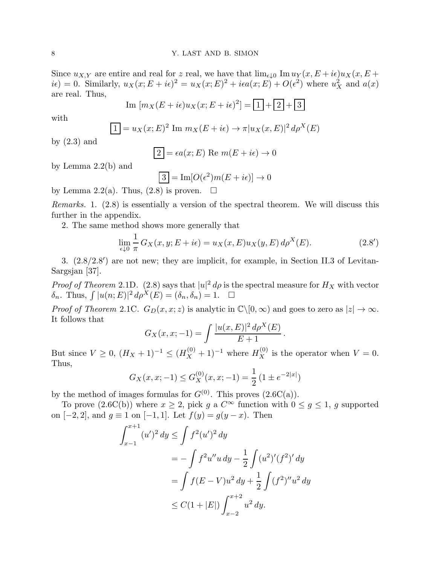Since  $u_{X,Y}$  are entire and real for z real, we have that  $\lim_{\epsilon \downarrow 0} \text{Im } u_Y(x, E + i\epsilon)u_X(x, E + i\epsilon)$  $i\epsilon$  = 0. Similarly,  $u_X(x; E + i\epsilon)^2 = u_X(x; E)^2 + i\epsilon a(x; E) + O(\epsilon^2)$  where  $u_X^2$  and  $a(x)$ are real. Thus,

Im 
$$
[m_X(E + i\epsilon)u_X(x; E + i\epsilon)^2] = \boxed{1} + \boxed{2} + \boxed{3}
$$

with

$$
1 = u_X(x; E)^2 \operatorname{Im} m_X(E + i\epsilon) \to \pi |u_X(x, E)|^2 d\rho^X(E)
$$

by  $(2.3)$  and

$$
\boxed{2} = \epsilon a(x; E) \text{ Re } m(E + i\epsilon) \to 0
$$

by Lemma 2.2(b) and

$$
3 = \text{Im}[O(\epsilon^2)m(E + i\epsilon)] \to 0
$$

by Lemma 2.2(a). Thus,  $(2.8)$  is proven.  $\Box$ 

Remarks. 1. (2.8) is essentially a version of the spectral theorem. We will discuss this further in the appendix.

2. The same method shows more generally that

$$
\lim_{\epsilon \downarrow 0} \frac{1}{\pi} G_X(x, y; E + i\epsilon) = u_X(x, E) u_X(y, E) d\rho^X(E). \tag{2.8'}
$$

3. (2.8/2.8′ ) are not new; they are implicit, for example, in Section II.3 of Levitan-Sargsjan [37].

*Proof of Theorem* 2.1D. (2.8) says that  $|u|^2 d\rho$  is the spectral measure for  $H_X$  with vector  $\delta_n$ . Thus,  $\int |u(n; E)|^2 d\rho^{\dot{X}}(E) = (\delta_n, \delta_n) = 1.$ 

*Proof of Theorem 2.1C.*  $G_D(x, x; z)$  is analytic in  $\mathbb{C}\setminus[0, \infty)$  and goes to zero as  $|z| \to \infty$ . It follows that

$$
G_X(x, x; -1) = \int \frac{|u(x, E)|^2 d\rho^X(E)}{E + 1}.
$$

But since  $V \ge 0$ ,  $(H_X + 1)^{-1} \le (H_X^{(0)} + 1)^{-1}$  where  $H_X^{(0)}$  is the operator when  $V = 0$ . Thus,

$$
G_X(x, x; -1) \le G_X^{(0)}(x, x; -1) = \frac{1}{2} \left( 1 \pm e^{-2|x|} \right)
$$

by the method of images formulas for  $G^{(0)}$ . This proves  $(2.6C(a))$ .

To prove  $(2.6C(b))$  where  $x \geq 2$ , pick g a  $C^{\infty}$  function with  $0 \leq g \leq 1$ , g supported on  $[-2, 2]$ , and  $g \equiv 1$  on  $[-1, 1]$ . Let  $f(y) = g(y - x)$ . Then

$$
\int_{x-1}^{x+1} (u')^2 dy \le \int f^2 (u')^2 dy
$$
  
=  $-\int f^2 u'' u dy - \frac{1}{2} \int (u^2)' (f^2)' dy$   
=  $\int f(E - V) u^2 dy + \frac{1}{2} \int (f^2)'' u^2 dy$   
 $\le C(1 + |E|) \int_{x-2}^{x+2} u^2 dy.$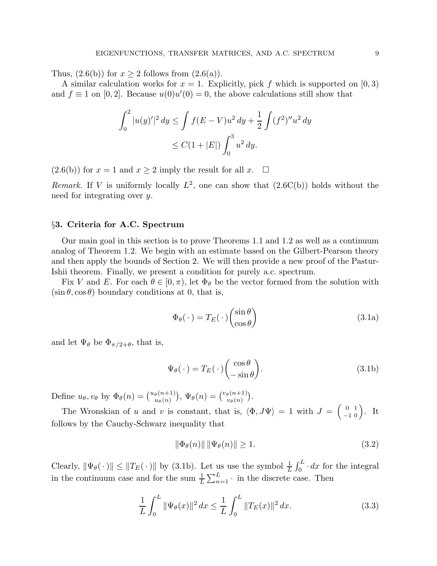Thus,  $(2.6(b))$  for  $x \ge 2$  follows from  $(2.6(a))$ .

A similar calculation works for  $x = 1$ . Explicitly, pick f which is supported on [0,3] and  $f \equiv 1$  on [0, 2]. Because  $u(0)u'(0) = 0$ , the above calculations still show that

$$
\int_0^2 |u(y)'|^2 dy \le \int f(E - V)u^2 dy + \frac{1}{2} \int (f^2)'' u^2 dy
$$
  
 
$$
\le C(1 + |E|) \int_0^3 u^2 dy.
$$

 $(2.6(b))$  for  $x = 1$  and  $x \ge 2$  imply the result for all  $x$ .  $\Box$ 

Remark. If V is uniformly locally  $L^2$ , one can show that  $(2.6C(b))$  holds without the need for integrating over y.

#### §3. Criteria for A.C. Spectrum

Our main goal in this section is to prove Theorems 1.1 and 1.2 as well as a continuum analog of Theorem 1.2. We begin with an estimate based on the Gilbert-Pearson theory and then apply the bounds of Section 2. We will then provide a new proof of the Pastur-Ishii theorem. Finally, we present a condition for purely a.c. spectrum.

Fix V and E. For each  $\theta \in [0, \pi)$ , let  $\Phi_{\theta}$  be the vector formed from the solution with  $(\sin \theta, \cos \theta)$  boundary conditions at 0, that is,

$$
\Phi_{\theta}(\cdot) = T_E(\cdot) \begin{pmatrix} \sin \theta \\ \cos \theta \end{pmatrix}
$$
\n(3.1a)

and let  $\Psi_{\theta}$  be  $\Phi_{\pi/2+\theta}$ , that is,

$$
\Psi_{\theta}(\cdot) = T_E(\cdot) \begin{pmatrix} \cos \theta \\ -\sin \theta \end{pmatrix}.
$$
\n(3.1b)

Define  $u_{\theta}, v_{\theta}$  by  $\Phi_{\theta}(n) = \binom{u_{\theta}(n+1)}{u_{\theta}(n)}, \Psi_{\theta}(n) = \binom{v_{\theta}(n+1)}{v_{\theta}(n)}$  $\frac{\theta(n+1)}{v_{\theta}(n)}$ .

The Wronskian of u and v is constant, that is,  $\langle \Phi, J\Psi \rangle = 1$  with  $J = \begin{pmatrix} 0 & 1 \\ -1 & 0 \end{pmatrix}$ . It follows by the Cauchy-Schwarz inequality that

$$
\|\Phi_{\theta}(n)\| \|\Psi_{\theta}(n)\| \ge 1.
$$
\n(3.2)

Clearly,  $\|\Psi_{\theta}(\cdot)\| \leq \|T_E(\cdot)\|$  by (3.1b). Let us use the symbol  $\frac{1}{L} \int_0^L \cdot dx$  for the integral in the continuum case and for the sum  $\frac{1}{L} \sum_{n=1}^{L}$  in the discrete case. Then

$$
\frac{1}{L} \int_0^L \|\Psi_{\theta}(x)\|^2 dx \le \frac{1}{L} \int_0^L \|T_E(x)\|^2 dx.
$$
 (3.3)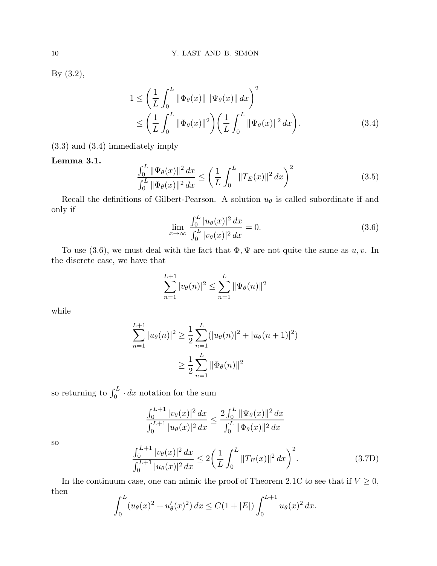By (3.2),

$$
1 \leq \left(\frac{1}{L} \int_0^L \|\Phi_{\theta}(x)\| \|\Psi_{\theta}(x)\| dx\right)^2
$$
  
 
$$
\leq \left(\frac{1}{L} \int_0^L \|\Phi_{\theta}(x)\|^2\right) \left(\frac{1}{L} \int_0^L \|\Psi_{\theta}(x)\|^2 dx\right).
$$
 (3.4)

(3.3) and (3.4) immediately imply

### Lemma 3.1.

$$
\frac{\int_0^L \|\Psi_{\theta}(x)\|^2 dx}{\int_0^L \|\Phi_{\theta}(x)\|^2 dx} \le \left(\frac{1}{L} \int_0^L \|T_E(x)\|^2 dx\right)^2 \tag{3.5}
$$

Recall the definitions of Gilbert-Pearson. A solution  $u_{\theta}$  is called subordinate if and only if

$$
\lim_{x \to \infty} \frac{\int_0^L |u_\theta(x)|^2 dx}{\int_0^L |v_\theta(x)|^2 dx} = 0.
$$
\n(3.6)

To use (3.6), we must deal with the fact that  $\Phi$ ,  $\Psi$  are not quite the same as u, v. In the discrete case, we have that

$$
\sum_{n=1}^{L+1} |v_{\theta}(n)|^2 \le \sum_{n=1}^{L} \|\Psi_{\theta}(n)\|^2
$$

while

$$
\sum_{n=1}^{L+1} |u_{\theta}(n)|^2 \ge \frac{1}{2} \sum_{n=1}^{L} (|u_{\theta}(n)|^2 + |u_{\theta}(n+1)|^2)
$$
  

$$
\ge \frac{1}{2} \sum_{n=1}^{L} ||\Phi_{\theta}(n)||^2
$$

so returning to  $\int_0^L \cdot dx$  notation for the sum

$$
\frac{\int_0^{L+1} |v_\theta(x)|^2 dx}{\int_0^{L+1} |u_\theta(x)|^2 dx} \le \frac{2 \int_0^L ||\Psi_\theta(x)||^2 dx}{\int_0^L ||\Phi_\theta(x)||^2 dx}
$$

so

$$
\frac{\int_0^{L+1} |v_\theta(x)|^2 dx}{\int_0^{L+1} |u_\theta(x)|^2 dx} \le 2 \left( \frac{1}{L} \int_0^L \|T_E(x)\|^2 dx \right)^2.
$$
 (3.7D)

In the continuum case, one can mimic the proof of Theorem 2.1C to see that if  $V\geq 0,$ then

$$
\int_0^L (u_\theta(x)^2 + u'_\theta(x)^2) \, dx \le C(1 + |E|) \int_0^{L+1} u_\theta(x)^2 \, dx.
$$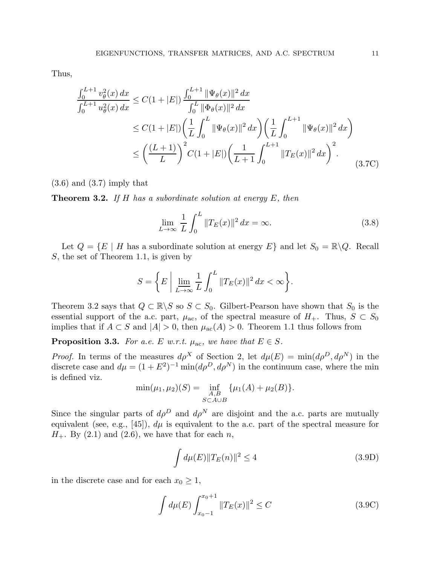Thus,

$$
\frac{\int_0^{L+1} v_\theta^2(x) dx}{\int_0^{L+1} u_\theta^2(x) dx} \le C(1+|E|) \frac{\int_0^{L+1} \|\Psi_\theta(x)\|^2 dx}{\int_0^L \|\Phi_\theta(x)\|^2 dx}
$$
\n
$$
\le C(1+|E|) \left(\frac{1}{L} \int_0^L \|\Psi_\theta(x)\|^2 dx\right) \left(\frac{1}{L} \int_0^{L+1} \|\Psi_\theta(x)\|^2 dx\right)
$$
\n
$$
\le \left(\frac{(L+1)}{L}\right)^2 C(1+|E|) \left(\frac{1}{L+1} \int_0^{L+1} \|T_E(x)\|^2 dx\right)^2.
$$
\n(3.7C)

 $(3.6)$  and  $(3.7)$  imply that

**Theorem 3.2.** If H has a subordinate solution at energy  $E$ , then

$$
\lim_{L \to \infty} \frac{1}{L} \int_0^L \|T_E(x)\|^2 \, dx = \infty. \tag{3.8}
$$

Let  $Q = \{E \mid H \text{ has a subordinate solution at energy } E\}$  and let  $S_0 = \mathbb{R} \backslash Q$ . Recall S, the set of Theorem 1.1, is given by

$$
S = \left\{ E \mid \lim_{L \to \infty} \frac{1}{L} \int_0^L ||T_E(x)||^2 dx < \infty \right\}.
$$

Theorem 3.2 says that  $Q \subset \mathbb{R} \backslash S$  so  $S \subset S_0$ . Gilbert-Pearson have shown that  $S_0$  is the essential support of the a.c. part,  $\mu_{ac}$ , of the spectral measure of  $H_+$ . Thus,  $S \subset S_0$ implies that if  $A \subset S$  and  $|A| > 0$ , then  $\mu_{ac}(A) > 0$ . Theorem 1.1 thus follows from

**Proposition 3.3.** For a.e. E w.r.t.  $\mu_{ac}$ , we have that  $E \in S$ .

*Proof.* In terms of the measures  $d\rho^X$  of Section 2, let  $d\mu(E) = \min(d\rho^D, d\rho^N)$  in the discrete case and  $d\mu = (1 + E^2)^{-1} \min(d\rho^D, d\rho^N)$  in the continuum case, where the min is defined viz.

$$
\min(\mu_1, \mu_2)(S) = \inf_{\substack{A, B \\ S \subset A \cup B}} \{\mu_1(A) + \mu_2(B)\}.
$$

Since the singular parts of  $d\rho^D$  and  $d\rho^N$  are disjoint and the a.c. parts are mutually equivalent (see, e.g., [45]),  $d\mu$  is equivalent to the a.c. part of the spectral measure for  $H_+$ . By (2.1) and (2.6), we have that for each n,

$$
\int d\mu(E) \|T_E(n)\|^2 \le 4 \tag{3.9D}
$$

in the discrete case and for each  $x_0 \geq 1$ ,

$$
\int d\mu(E) \int_{x_0 - 1}^{x_0 + 1} \|T_E(x)\|^2 \le C \tag{3.9C}
$$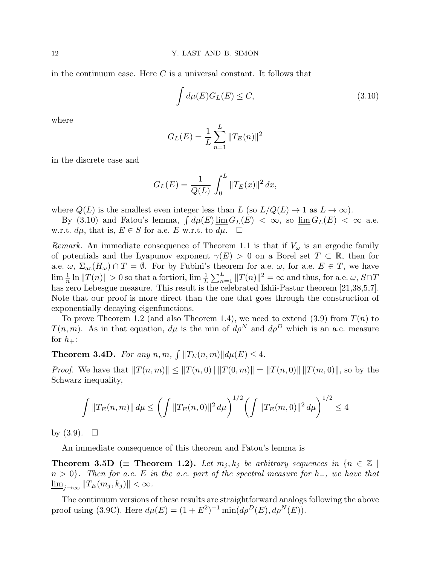in the continuum case. Here  $C$  is a universal constant. It follows that

$$
\int d\mu(E) G_L(E) \le C,\tag{3.10}
$$

where

$$
G_L(E) = \frac{1}{L} \sum_{n=1}^{L} ||T_E(n)||^2
$$

in the discrete case and

$$
G_L(E) = \frac{1}{Q(L)} \int_0^L ||T_E(x)||^2 dx,
$$

where  $Q(L)$  is the smallest even integer less than L (so  $L/Q(L) \rightarrow 1$  as  $L \rightarrow \infty$ ).

By (3.10) and Fatou's lemma,  $\int d\mu(E) \underline{\lim} G_L(E) < \infty$ , so  $\underline{\lim} G_L(E) < \infty$  a.e. w.r.t.  $d\mu$ , that is,  $E \in S$  for a.e. E w.r.t. to  $d\mu$ .  $\Box$ 

*Remark.* An immediate consequence of Theorem 1.1 is that if  $V_{\omega}$  is an ergodic family of potentials and the Lyapunov exponent  $\gamma(E) > 0$  on a Borel set  $T \subset \mathbb{R}$ , then for a.e.  $\omega$ ,  $\Sigma_{ac}(H_{\omega}) \cap T = \emptyset$ . For by Fubini's theorem for a.e.  $\omega$ , for a.e.  $E \in T$ , we have  $\lim_{n} \frac{1}{n} \ln ||T(n)|| > 0$  so that a fortiori,  $\lim_{n} \frac{1}{L} \sum_{n=1}^{L} ||T(n)||^2 = \infty$  and thus, for a.e.  $\omega$ ,  $S \cap T$ has zero Lebesgue measure. This result is the celebrated Ishii-Pastur theorem [21,38,5,7]. Note that our proof is more direct than the one that goes through the construction of exponentially decaying eigenfunctions.

To prove Theorem 1.2 (and also Theorem 1.4), we need to extend  $(3.9)$  from  $T(n)$  to  $T(n, m)$ . As in that equation,  $d\mu$  is the min of  $d\rho^N$  and  $d\rho^D$  which is an a.c. measure for  $h_{+}$ :

**Theorem 3.4D.** For any  $n, m, \int ||T_E(n,m)|| d\mu(E) \leq 4$ .

*Proof.* We have that  $||T(n, m)|| \le ||T(n, 0)|| ||T(0, m)|| = ||T(n, 0)|| ||T(m, 0)||$ , so by the Schwarz inequality,

$$
\int \|T_E(n,m)\| d\mu \le \left(\int \|T_E(n,0)\|^2 d\mu\right)^{1/2} \left(\int \|T_E(m,0)\|^2 d\mu\right)^{1/2} \le 4
$$

by  $(3.9)$ .  $\Box$ 

An immediate consequence of this theorem and Fatou's lemma is

**Theorem 3.5D** ( $\equiv$  **Theorem 1.2).** Let  $m_j, k_j$  be arbitrary sequences in  $\{n \in \mathbb{Z}$  $n > 0$ . Then for a.e. E in the a.c. part of the spectral measure for  $h_{+}$ , we have that  $\lim_{j\to\infty}||T_E(m_j, k_j)|| < \infty.$ 

The continuum versions of these results are straightforward analogs following the above proof using (3.9C). Here  $d\mu(E) = (1 + E^2)^{-1} \min(d\rho^{D}(E), d\rho^{N}(E)).$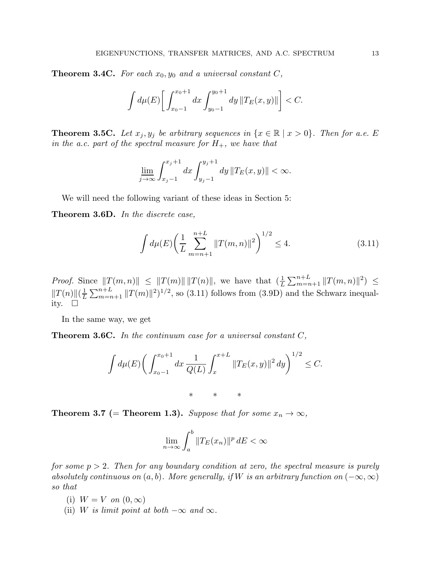**Theorem 3.4C.** For each  $x_0, y_0$  and a universal constant  $C$ ,

$$
\int d\mu(E) \bigg[ \int_{x_0-1}^{x_0+1} dx \int_{y_0-1}^{y_0+1} dy \, ||T_E(x,y)|| \bigg] < C.
$$

**Theorem 3.5C.** Let  $x_j, y_j$  be arbitrary sequences in  $\{x \in \mathbb{R} \mid x > 0\}$ . Then for a.e. E in the a.c. part of the spectral measure for  $H_+$ , we have that

$$
\lim_{j \to \infty} \int_{x_j - 1}^{x_j + 1} dx \int_{y_j - 1}^{y_j + 1} dy \, ||T_E(x, y)|| < \infty.
$$

We will need the following variant of these ideas in Section 5:

Theorem 3.6D. In the discrete case,

$$
\int d\mu(E) \left(\frac{1}{L} \sum_{m=n+1}^{n+L} ||T(m,n)||^2\right)^{1/2} \le 4.
$$
\n(3.11)

*Proof.* Since  $||T(m,n)|| \leq ||T(m)|| ||T(n)||$ , we have that  $(\frac{1}{L} \sum_{m=n+1}^{n+L} ||T(m,n)||^2) \leq$  $||T(n)||(\frac{1}{L})$  $\frac{1}{L} \sum_{m=n+1}^{n+L} ||T(m)||^2$ <sup>1/2</sup>, so (3.11) follows from (3.9D) and the Schwarz inequality.  $\square$ 

In the same way, we get

**Theorem 3.6C.** In the continuum case for a universal constant  $C$ ,

$$
\int d\mu(E) \bigg( \int_{x_0-1}^{x_0+1} dx \, \frac{1}{Q(L)} \int_x^{x+L} ||T_E(x,y)||^2 \, dy \bigg)^{1/2} \leq C.
$$

**Theorem 3.7** (= **Theorem 1.3**). Suppose that for some  $x_n \to \infty$ ,

$$
\lim_{n \to \infty} \int_{a}^{b} \|T_{E}(x_{n})\|^{p} dE < \infty
$$

for some  $p > 2$ . Then for any boundary condition at zero, the spectral measure is purely absolutely continuous on  $(a, b)$ . More generally, if W is an arbitrary function on  $(-\infty, \infty)$ so that

- (i)  $W = V$  on  $(0, \infty)$
- (ii) W is limit point at both  $-\infty$  and  $\infty$ .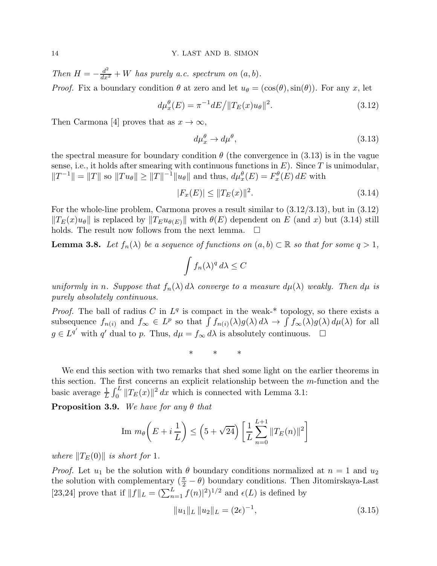Then  $H = -\frac{d^2}{dx^2} + W$  has purely a.c. spectrum on  $(a, b)$ . *Proof.* Fix a boundary condition  $\theta$  at zero and let  $u_{\theta} = (\cos(\theta), \sin(\theta))$ . For any x, let

$$
d\mu_x^{\theta}(E) = \pi^{-1} dE / ||T_E(x)u_{\theta}||^2.
$$
\n(3.12)

Then Carmona [4] proves that as  $x \to \infty$ ,

$$
d\mu_x^{\theta} \to d\mu^{\theta}, \tag{3.13}
$$

the spectral measure for boundary condition  $\theta$  (the convergence in (3.13) is in the vague sense, i.e., it holds after smearing with continuous functions in  $E$ ). Since T is unimodular,  $||T^{-1}|| = ||T||$  so  $||Tu_{\theta}|| \ge ||T||^{-1}||u_{\theta}||$  and thus,  $d\mu_x^{\theta}(E) = F_x^{\theta}(E) dE$  with

$$
|F_x(E)| \le ||T_E(x)||^2. \tag{3.14}
$$

For the whole-line problem, Carmona proves a result similar to (3.12/3.13), but in (3.12)  $||T_E(x)u_\theta||$  is replaced by  $||T_Eu_{\theta(E)}||$  with  $\theta(E)$  dependent on E (and x) but (3.14) still holds. The result now follows from the next lemma.  $\Box$ 

**Lemma 3.8.** Let  $f_n(\lambda)$  be a sequence of functions on  $(a, b) \subset \mathbb{R}$  so that for some  $q > 1$ ,

$$
\int f_n(\lambda)^q \, d\lambda \le C
$$

uniformly in n. Suppose that  $f_n(\lambda) d\lambda$  converge to a measure  $d\mu(\lambda)$  weakly. Then  $d\mu$  is purely absolutely continuous.

*Proof.* The ball of radius C in  $L^q$  is compact in the weak-\* topology, so there exists a subsequence  $f_{n(i)}$  and  $f_{\infty} \in L^p$  so that  $\int f_{n(i)}(\lambda)g(\lambda) d\lambda \to \int f_{\infty}(\lambda)g(\lambda) d\mu(\lambda)$  for all  $g \in L^{q'}$  with  $q'$  dual to p. Thus,  $d\mu = f_{\infty} d\lambda$  is absolutely continuous.  $\square$ 

\* \* \*

We end this section with two remarks that shed some light on the earlier theorems in this section. The first concerns an explicit relationship between the m-function and the basic average  $\frac{1}{L} \int_0^L ||T_E(x)||^2 dx$  which is connected with Lemma 3.1:

**Proposition 3.9.** We have for any  $\theta$  that

$$
\operatorname{Im} m_{\theta}\left(E + i\frac{1}{L}\right) \le \left(5 + \sqrt{24}\right) \left[\frac{1}{L} \sum_{n=0}^{L+1} ||T_E(n)||^2\right]
$$

where  $||T_E(0)||$  is short for 1.

*Proof.* Let  $u_1$  be the solution with  $\theta$  boundary conditions normalized at  $n = 1$  and  $u_2$ the solution with complementary  $(\frac{\pi}{2} - \theta)$  boundary conditions. Then Jitomirskaya-Last [23,24] prove that if  $||f||_L = (\sum_{n=1}^L f(n)|^2)^{1/2}$  and  $\epsilon(L)$  is defined by

$$
||u_1||_L ||u_2||_L = (2\epsilon)^{-1}, \tag{3.15}
$$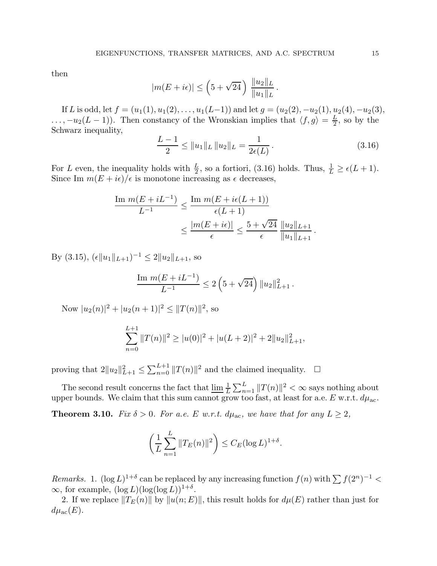then

$$
|m(E+i\epsilon)| \leq \left(5+\sqrt{24}\,\right) \, \frac{\|u_2\|_L}{\|u_1\|_L}.
$$

If L is odd, let  $f = (u_1(1), u_1(2), \ldots, u_1(L-1))$  and let  $g = (u_2(2), -u_2(1), u_2(4), -u_2(3),$  $\dots, -u_2(L-1)$ . Then constancy of the Wronskian implies that  $\langle f, g \rangle = \frac{L}{2}$  $\frac{L}{2}$ , so by the Schwarz inequality,

$$
\frac{L-1}{2} \le ||u_1||_L ||u_2||_L = \frac{1}{2\epsilon(L)}.
$$
\n(3.16)

For L even, the inequality holds with  $\frac{L}{2}$ , so a fortiori, (3.16) holds. Thus,  $\frac{1}{L} \geq \epsilon(L+1)$ . Since Im  $m(E + i\epsilon)/\epsilon$  is monotone increasing as  $\epsilon$  decreases,

$$
\frac{\text{Im } m(E + iL^{-1})}{L^{-1}} \le \frac{\text{Im } m(E + i\epsilon(L+1))}{\epsilon(L+1)}
$$
  

$$
\le \frac{|m(E + i\epsilon)|}{\epsilon} \le \frac{5 + \sqrt{24}}{\epsilon} \frac{\|u_2\|_{L+1}}{\|u_1\|_{L+1}}.
$$

By (3.15),  $(\epsilon \|u_1\|_{L+1})^{-1} \leq 2\|u_2\|_{L+1}$ , so

$$
\frac{\operatorname{Im} m(E+iL^{-1})}{L^{-1}} \leq 2\left(5+\sqrt{24}\right) \|u_2\|_{L+1}^2.
$$

Now  $|u_2(n)|^2 + |u_2(n+1)|^2 \le ||T(n)||^2$ , so

$$
\sum_{n=0}^{L+1} ||T(n)||^2 \ge |u(0)|^2 + |u(L+2)|^2 + 2||u_2||_{L+1}^2,
$$

proving that  $2||u_2||^2_{L+1} \leq \sum_{n=0}^{L+1} ||T(n)||^2$  and the claimed inequality.  $\Box$ 

The second result concerns the fact that  $\lim_{L \to \infty} \frac{1}{L} \sum_{n=1}^{L} ||T(n)||^2 < \infty$  says nothing about upper bounds. We claim that this sum cannot grow too fast, at least for a.e. E w.r.t.  $d\mu_{ac}$ .

**Theorem 3.10.** Fix  $\delta > 0$ . For a.e. E w.r.t.  $d\mu_{ac}$ , we have that for any  $L \geq 2$ ,

$$
\left(\frac{1}{L}\sum_{n=1}^{L}||T_E(n)||^2\right)\leq C_E(\log L)^{1+\delta}.
$$

Remarks. 1.  $(\log L)^{1+\delta}$  can be replaced by any increasing function  $f(n)$  with  $\sum f(2^n)^{-1}$  <  $\infty$ , for example,  $(\log L)(\log(\log L))^{1+\delta}$ .

2. If we replace  $||T_E(n)||$  by  $||u(n; E)||$ , this result holds for  $d\mu(E)$  rather than just for  $d\mu_{\rm ac}(E)$ .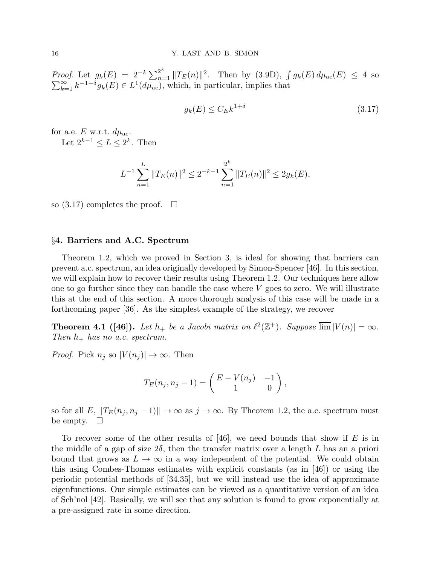*Proof.* Let  $g_k(E) = 2^{-k} \sum_{n=1}^{2^k} ||T_E(n)||^2$ . Then by (3.9D),  $\int$  $\sum$ *oof.* Let  $g_k(E) = 2^{-k} \sum_{n=1}^{\infty} ||T_E(n)||^2$ . Then by (3.9D),  $\int g_k(E) d\mu_{ac}(E) \leq 4$  so  $\sum_{k=1}^{\infty} k^{-1-\delta} g_k(E) \in L^1(d\mu_{ac})$ , which, in particular, implies that

$$
g_k(E) \le C_E k^{1+\delta} \tag{3.17}
$$

for a.e. E w.r.t.  $d\mu_{ac}$ . Let  $2^{k-1} \leq L \leq 2^k$ . Then

$$
L^{-1} \sum_{n=1}^{L} ||T_E(n)||^2 \le 2^{-k-1} \sum_{n=1}^{2^k} ||T_E(n)||^2 \le 2g_k(E),
$$

so  $(3.17)$  completes the proof.  $\Box$ 

#### §4. Barriers and A.C. Spectrum

Theorem 1.2, which we proved in Section 3, is ideal for showing that barriers can prevent a.c. spectrum, an idea originally developed by Simon-Spencer [46]. In this section, we will explain how to recover their results using Theorem 1.2. Our techniques here allow one to go further since they can handle the case where  $V$  goes to zero. We will illustrate this at the end of this section. A more thorough analysis of this case will be made in a forthcoming paper [36]. As the simplest example of the strategy, we recover

**Theorem 4.1 ([46]).** Let  $h_+$  be a Jacobi matrix on  $\ell^2(\mathbb{Z}^+)$ . Suppose  $\overline{\lim}|V(n)| = \infty$ . Then  $h_+$  has no a.c. spectrum.

*Proof.* Pick  $n_i$  so  $|V(n_i)| \to \infty$ . Then

$$
T_E(n_j, n_j - 1) = \begin{pmatrix} E - V(n_j) & -1 \\ 1 & 0 \end{pmatrix},
$$

so for all E,  $||T_E(n_j, n_j - 1)|| \rightarrow \infty$  as  $j \rightarrow \infty$ . By Theorem 1.2, the a.c. spectrum must be empty.  $\Box$ 

To recover some of the other results of  $[46]$ , we need bounds that show if E is in the middle of a gap of size  $2\delta$ , then the transfer matrix over a length L has an a priori bound that grows as  $L \to \infty$  in a way independent of the potential. We could obtain this using Combes-Thomas estimates with explicit constants (as in [46]) or using the periodic potential methods of [34,35], but we will instead use the idea of approximate eigenfunctions. Our simple estimates can be viewed as a quantitative version of an idea of Sch'nol [42]. Basically, we will see that any solution is found to grow exponentially at a pre-assigned rate in some direction.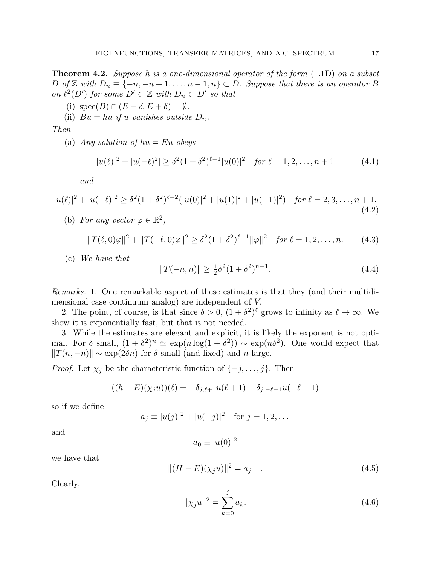**Theorem 4.2.** Suppose h is a one-dimensional operator of the form  $(1.1D)$  on a subset D of Z with  $D_n \equiv \{-n, -n+1, \ldots, n-1, n\} \subset D$ . Suppose that there is an operator B on  $\ell^2(D')$  for some  $D' \subset \mathbb{Z}$  with  $D_n \subset D'$  so that

- (i)  $\operatorname{spec}(B) \cap (E \delta, E + \delta) = \emptyset$ .
- (ii)  $Bu = hu$  if u vanishes outside  $D_n$ .

Then

(a) Any solution of  $hu = Eu$  obeys

$$
|u(\ell)|^2 + |u(-\ell)|^2 \ge \delta^2 (1 + \delta^2)^{\ell - 1} |u(0)|^2 \quad \text{for } \ell = 1, 2, \dots, n + 1 \tag{4.1}
$$

and

$$
|u(\ell)|^2 + |u(-\ell)|^2 \ge \delta^2 (1 + \delta^2)^{\ell - 2} (|u(0)|^2 + |u(1)|^2 + |u(-1)|^2) \quad \text{for } \ell = 2, 3, \dots, n+1. \tag{4.2}
$$

(b) For any vector  $\varphi \in \mathbb{R}^2$ ,

$$
||T(\ell,0)\varphi||^2 + ||T(-\ell,0)\varphi||^2 \ge \delta^2 (1+\delta^2)^{\ell-1} ||\varphi||^2 \quad \text{for } \ell = 1, 2, \dots, n. \tag{4.3}
$$

(c) We have that

$$
||T(-n, n)|| \ge \frac{1}{2}\delta^2 (1 + \delta^2)^{n-1}.
$$
\n(4.4)

Remarks. 1. One remarkable aspect of these estimates is that they (and their multidimensional case continuum analog) are independent of V.

2. The point, of course, is that since  $\delta > 0$ ,  $(1 + \delta^2)^{\ell}$  grows to infinity as  $\ell \to \infty$ . We show it is exponentially fast, but that is not needed.

3. While the estimates are elegant and explicit, it is likely the exponent is not optimal. For  $\delta$  small,  $(1 + \delta^2)^n \simeq \exp(n \log(1 + \delta^2)) \sim \exp(n \delta^2)$ . One would expect that  $||T(n, -n)|| \sim \exp(2\delta n)$  for  $\delta$  small (and fixed) and n large.

*Proof.* Let  $\chi_j$  be the characteristic function of  $\{-j, \ldots, j\}$ . Then

$$
((h-E)(\chi_j u))(\ell) = -\delta_{j,\ell+1} u(\ell+1) - \delta_{j,-\ell-1} u(-\ell-1)
$$

so if we define

$$
a_j \equiv |u(j)|^2 + |u(-j)|^2
$$
 for  $j = 1, 2, ...$ 

and

$$
a_0 \equiv |u(0)|^2
$$

we have that

$$
||(H - E)(\chi_j u)||^2 = a_{j+1}.
$$
\n(4.5)

Clearly,

$$
\|\chi_j u\|^2 = \sum_{k=0}^j a_k.
$$
\n(4.6)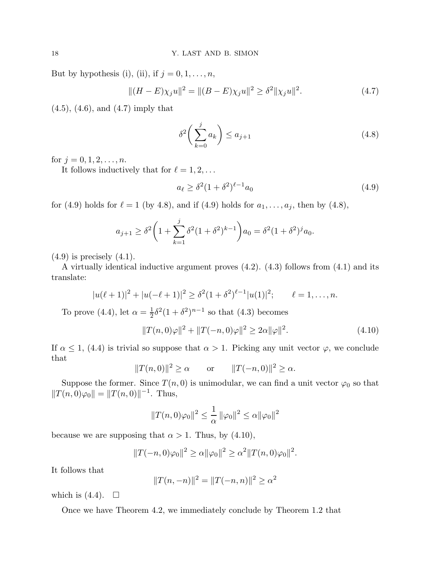But by hypothesis (i), (ii), if  $j = 0, 1, \ldots, n$ ,

$$
||(H - E)\chi_j u||^2 = ||(B - E)\chi_j u||^2 \ge \delta^2 ||\chi_j u||^2.
$$
 (4.7)

(4.5), (4.6), and (4.7) imply that

$$
\delta^2 \left( \sum_{k=0}^j a_k \right) \le a_{j+1} \tag{4.8}
$$

for  $j = 0, 1, 2, ..., n$ .

It follows inductively that for  $\ell = 1, 2, \ldots$ 

$$
a_{\ell} \ge \delta^2 (1 + \delta^2)^{\ell - 1} a_0 \tag{4.9}
$$

for (4.9) holds for  $\ell = 1$  (by 4.8), and if (4.9) holds for  $a_1, \ldots, a_j$ , then by (4.8),

$$
a_{j+1} \ge \delta^2 \left( 1 + \sum_{k=1}^j \delta^2 (1 + \delta^2)^{k-1} \right) a_0 = \delta^2 (1 + \delta^2)^j a_0.
$$

 $(4.9)$  is precisely  $(4.1)$ .

A virtually identical inductive argument proves (4.2). (4.3) follows from (4.1) and its translate:

$$
|u(\ell+1)|^2 + |u(-\ell+1)|^2 \geq \delta^2 (1+\delta^2)^{\ell-1} |u(1)|^2; \qquad \ell=1,\ldots,n.
$$

To prove (4.4), let  $\alpha = \frac{1}{2}$  $\frac{1}{2}\delta^2(1+\delta^2)^{n-1}$  so that (4.3) becomes

$$
||T(n,0)\varphi||^2 + ||T(-n,0)\varphi||^2 \ge 2\alpha ||\varphi||^2.
$$
 (4.10)

If  $\alpha \leq 1$ , (4.4) is trivial so suppose that  $\alpha > 1$ . Picking any unit vector  $\varphi$ , we conclude that

$$
||T(n,0)||^2 \ge \alpha
$$
 or  $||T(-n,0)||^2 \ge \alpha$ .

Suppose the former. Since  $T(n, 0)$  is unimodular, we can find a unit vector  $\varphi_0$  so that  $||T(n, 0)\varphi_0|| = ||T(n, 0)||^{-1}$ . Thus,

$$
||T(n,0)\varphi_0||^2 \le \frac{1}{\alpha} ||\varphi_0||^2 \le \alpha ||\varphi_0||^2
$$

because we are supposing that  $\alpha > 1$ . Thus, by (4.10),

$$
||T(-n,0)\varphi_0||^2 \ge \alpha ||\varphi_0||^2 \ge \alpha^2 ||T(n,0)\varphi_0||^2.
$$

It follows that

$$
||T(n, -n)||^2 = ||T(-n, n)||^2 \ge \alpha^2
$$

which is  $(4.4)$ .  $\Box$ 

Once we have Theorem 4.2, we immediately conclude by Theorem 1.2 that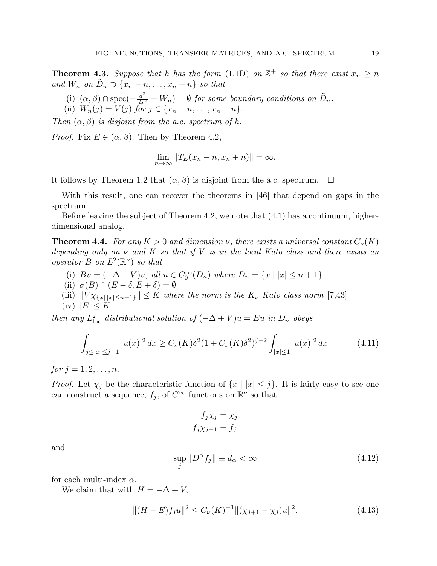**Theorem 4.3.** Suppose that h has the form (1.1D) on  $\mathbb{Z}^+$  so that there exist  $x_n \geq n$ and  $W_n$  on  $\tilde{D}_n \supset \{x_n - n, \ldots, x_n + n\}$  so that

- (i)  $(\alpha, \beta) \cap \text{spec}(-\frac{d^2}{dx^2} + W_n) = \emptyset$  for some boundary conditions on  $\tilde{D}_n$ .
- (ii)  $W_n(j) = V(j)$  for  $j \in \{x_n n, \dots, x_n + n\}.$

Then  $(\alpha, \beta)$  is disjoint from the a.c. spectrum of h.

*Proof.* Fix  $E \in (\alpha, \beta)$ . Then by Theorem 4.2,

$$
\lim_{n \to \infty} ||T_E(x_n - n, x_n + n)|| = \infty.
$$

It follows by Theorem 1.2 that  $(\alpha, \beta)$  is disjoint from the a.c. spectrum.  $\square$ 

With this result, one can recover the theorems in [46] that depend on gaps in the spectrum.

Before leaving the subject of Theorem 4.2, we note that (4.1) has a continuum, higherdimensional analog.

**Theorem 4.4.** For any  $K > 0$  and dimension  $\nu$ , there exists a universal constant  $C_{\nu}(K)$ depending only on  $\nu$  and  $K$  so that if  $V$  is in the local Kato class and there exists an operator  $B$  on  $L^2(\mathbb{R}^{\nu})$  so that

- (i)  $Bu = (-\Delta + V)u$ , all  $u \in C_0^{\infty}(D_n)$  where  $D_n = \{x \mid |x| \leq n+1\}$
- (ii)  $\sigma(B) \cap (E \delta, E + \delta) = \emptyset$
- (iii)  $||V \chi_{\{x| |x| \leq n+1\}}|| \leq K$  where the norm is the  $K_{\nu}$  Kato class norm [7,43]
- $(iv)$   $|E| \leq K$

then any  $L^2_{loc}$  distributional solution of  $(-\Delta + V)u = Eu$  in  $D_n$  obeys

$$
\int_{j\le|x|\le j+1} |u(x)|^2 dx \ge C_{\nu}(K)\delta^2 (1 + C_{\nu}(K)\delta^2)^{j-2} \int_{|x|\le 1} |u(x)|^2 dx \tag{4.11}
$$

for  $j = 1, 2, ..., n$ .

*Proof.* Let  $\chi_j$  be the characteristic function of  $\{x \mid |x| \leq j\}$ . It is fairly easy to see one can construct a sequence,  $f_j$ , of  $C^{\infty}$  functions on  $\mathbb{R}^{\nu}$  so that

$$
f_j \chi_j = \chi_j
$$

$$
f_j \chi_{j+1} = f_j
$$

and

$$
\sup_{j} \|D^{\alpha} f_j\| \equiv d_{\alpha} < \infty \tag{4.12}
$$

for each multi-index  $\alpha$ .

We claim that with  $H = -\Delta + V$ ,

$$
||(H - E)f_j u||^2 \le C_\nu(K)^{-1} ||(\chi_{j+1} - \chi_j)u||^2.
$$
\n(4.13)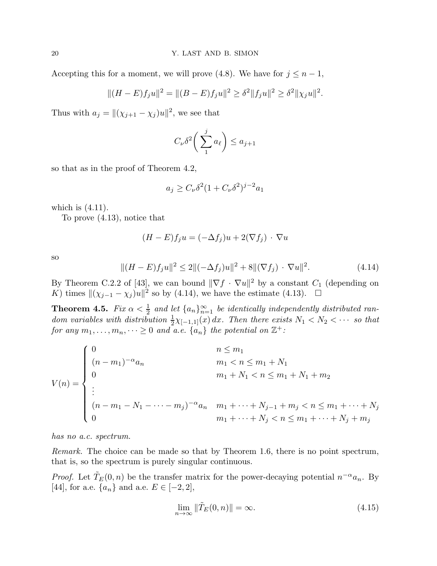Accepting this for a moment, we will prove (4.8). We have for  $j \leq n-1$ ,

$$
||(H - E)f_ju||^2 = ||(B - E)f_ju||^2 \ge \delta^2 ||f_ju||^2 \ge \delta^2 ||\chi_ju||^2.
$$

Thus with  $a_j = ||(\chi_{j+1} - \chi_j)u||^2$ , we see that

$$
C_{\nu}\delta^2\bigg(\sum_1^ja_\ell\bigg)\leq a_{j+1}
$$

so that as in the proof of Theorem 4.2,

$$
a_j \ge C_\nu \delta^2 (1 + C_\nu \delta^2)^{j-2} a_1
$$

which is  $(4.11)$ .

To prove (4.13), notice that

$$
(H - E)f_j u = (-\Delta f_j)u + 2(\nabla f_j) \cdot \nabla u
$$

so

$$
||(H - E)f_j u||^2 \le 2||(-\Delta f_j)u||^2 + 8||(\nabla f_j) \cdot \nabla u||^2.
$$
 (4.14)

By Theorem C.2.2 of [43], we can bound  $\|\nabla f \cdot \nabla u\|^2$  by a constant  $C_1$  (depending on K) times  $\|(\chi_{j-1} - \chi_j)u\|^2$  so by (4.14), we have the estimate (4.13).  $\Box$ 

**Theorem 4.5.** Fix  $\alpha < \frac{1}{2}$  and let  $\{a_n\}_{n=1}^{\infty}$  be identically independently distributed random variables with distribution  $\frac{1}{2}\chi_{[-1,1]}(x) dx$ . Then there exists  $N_1 < N_2 < \cdots$  so that for any  $m_1, \ldots, m_n, \cdots \ge 0$  and a.e.  $\{a_n\}$  the potential on  $\mathbb{Z}^+$ :

$$
V(n) = \begin{cases} 0 & n \le m_1 \\ (n - m_1)^{-\alpha} a_n & m_1 < n \le m_1 + N_1 \\ 0 & m_1 + N_1 < n \le m_1 + N_1 + m_2 \\ \vdots & (n - m_1 - N_1 - \dots - m_j)^{-\alpha} a_n & m_1 + \dots + N_{j-1} + m_j < n \le m_1 + \dots + N_j \\ 0 & m_1 + \dots + N_j < n \le m_1 + \dots + N_j + m_j \end{cases}
$$

has no a.c. spectrum.

Remark. The choice can be made so that by Theorem 1.6, there is no point spectrum, that is, so the spectrum is purely singular continuous.

*Proof.* Let  $\tilde{T}_E(0,n)$  be the transfer matrix for the power-decaying potential  $n^{-\alpha}a_n$ . By [44], for a.e.  $\{a_n\}$  and a.e.  $E \in [-2, 2]$ ,

$$
\lim_{n \to \infty} \|\tilde{T}_E(0, n)\| = \infty. \tag{4.15}
$$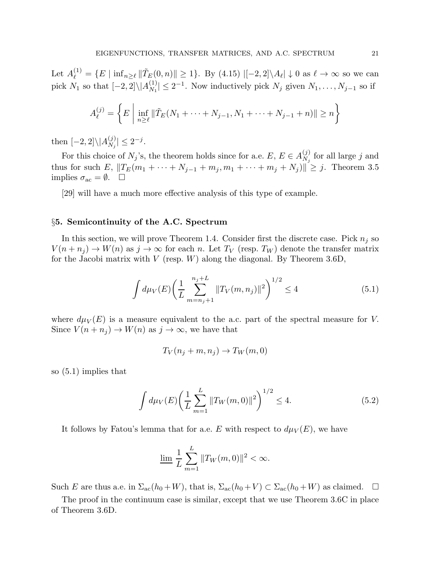Let  $A_{\ell}^{(1)} = \{E \mid \inf_{n \geq \ell} ||\tilde{T}_{E}(0, n)|| \geq 1\}$ . By (4.15)  $\left| [-2, 2] \backslash A_{\ell} \right| \downarrow 0$  as  $\ell \to \infty$  so we can pick  $N_1$  so that  $[-2, 2] \setminus |A_{N_1}^{(1)}|$  $|N_1| \leq 2^{-1}$ . Now inductively pick  $N_j$  given  $N_1, \ldots, N_{j-1}$  so if

$$
A_{\ell}^{(j)} = \left\{ E \mid \inf_{n \ge \ell} \|\tilde{T}_E(N_1 + \dots + N_{j-1}, N_1 + \dots + N_{j-1} + n)\| \ge n \right\}
$$

then  $[-2,2]\backslash |A_{N_j}^{(j)}$  $|_{N_j}^{(j)}| \leq 2^{-j}.$ 

For this choice of  $N_j$ 's, the theorem holds since for a.e.  $E, E \in A_{N_j}^{(j)}$  $\chi_j^{(j)}$  for all large j and thus for such E,  $||T_E(m_1 + \cdots + N_{j-1} + m_j, m_1 + \cdots + m_j + N_j)||^2 \geq j$ . Theorem 3.5 implies  $\sigma_{\rm ac} = \emptyset$ .  $\Box$ 

[29] will have a much more effective analysis of this type of example.

#### §5. Semicontinuity of the A.C. Spectrum

In this section, we will prove Theorem 1.4. Consider first the discrete case. Pick  $n_j$  so  $V(n + n_j) \to W(n)$  as  $j \to \infty$  for each n. Let  $T_V$  (resp.  $T_W$ ) denote the transfer matrix for the Jacobi matrix with  $V$  (resp.  $W$ ) along the diagonal. By Theorem 3.6D,

$$
\int d\mu_V(E) \left(\frac{1}{L} \sum_{m=n_j+1}^{n_j+L} \|T_V(m, n_j)\|^2\right)^{1/2} \le 4
$$
\n(5.1)

where  $d\mu_V(E)$  is a measure equivalent to the a.c. part of the spectral measure for V. Since  $V(n + n_j) \to W(n)$  as  $j \to \infty$ , we have that

$$
T_V(n_j + m, n_j) \to T_W(m, 0)
$$

so (5.1) implies that

$$
\int d\mu_V(E) \left(\frac{1}{L} \sum_{m=1}^{L} ||T_W(m,0)||^2\right)^{1/2} \le 4.
$$
\n(5.2)

It follows by Fatou's lemma that for a.e. E with respect to  $d\mu_V(E)$ , we have

$$
\lim_{L} \frac{1}{L} \sum_{m=1}^{L} ||T_W(m, 0)||^2 < \infty.
$$

Such E are thus a.e. in  $\Sigma_{ac}(h_0+W)$ , that is,  $\Sigma_{ac}(h_0+V) \subset \Sigma_{ac}(h_0+W)$  as claimed.  $\square$ 

The proof in the continuum case is similar, except that we use Theorem 3.6C in place of Theorem 3.6D.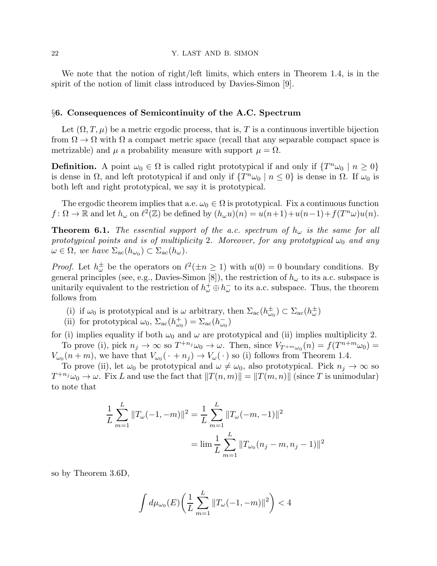We note that the notion of right/left limits, which enters in Theorem 1.4, is in the spirit of the notion of limit class introduced by Davies-Simon [9].

#### §6. Consequences of Semicontinuity of the A.C. Spectrum

Let  $(\Omega, T, \mu)$  be a metric ergodic process, that is, T is a continuous invertible bijection from  $\Omega \to \Omega$  with  $\Omega$  a compact metric space (recall that any separable compact space is metrizable) and  $\mu$  a probability measure with support  $\mu = \Omega$ .

**Definition.** A point  $\omega_0 \in \Omega$  is called right prototypical if and only if  $\{T^n \omega_0 \mid n \geq 0\}$ is dense in  $\Omega$ , and left prototypical if and only if  $\{T^n\omega_0 \mid n \leq 0\}$  is dense in  $\Omega$ . If  $\omega_0$  is both left and right prototypical, we say it is prototypical.

The ergodic theorem implies that a.e.  $\omega_0 \in \Omega$  is prototypical. Fix a continuous function  $f: \Omega \to \mathbb{R}$  and let  $h_{\omega}$  on  $\ell^2(\mathbb{Z})$  be defined by  $(h_{\omega}u)(n) = u(n+1)+u(n-1)+f(T^n\omega)u(n)$ .

**Theorem 6.1.** The essential support of the a.c. spectrum of  $h_{\omega}$  is the same for all prototypical points and is of multiplicity 2. Moreover, for any prototypical  $\omega_0$  and any  $\omega \in \Omega$ , we have  $\Sigma_{\rm ac}(h_{\omega_0}) \subset \Sigma_{\rm ac}(h_{\omega})$ .

*Proof.* Let  $h^{\pm}_{\omega}$  be the operators on  $\ell^2(\pm n \geq 1)$  with  $u(0) = 0$  boundary conditions. By general principles (see, e.g., Davies-Simon [8]), the restriction of  $h_{\omega}$  to its a.c. subspace is unitarily equivalent to the restriction of  $h^+_\omega \oplus h^-_\omega$  to its a.c. subspace. Thus, the theorem follows from

- (i) if  $\omega_0$  is prototypical and is  $\omega$  arbitrary, then  $\Sigma_{ac}(h_{\omega_0}^{\pm}) \subset \Sigma_{ac}(h_{\omega}^{\pm})$
- (ii) for prototypical  $\omega_0$ ,  $\Sigma_{ac}(h^+_{\omega_0}) = \Sigma_{ac}(h^-_{\omega_0})$

for (i) implies equality if both  $\omega_0$  and  $\omega$  are prototypical and (ii) implies multiplicity 2. To prove (i), pick  $n_j \to \infty$  so  $T^{+n_j}\omega_0 \to \omega$ . Then, since  $V_{T^{+m}\omega_0}(n) = f(T^{n+m}\omega_0) =$  $V_{\omega_0}(n+m)$ , we have that  $V_{\omega_0}(\cdot+n_j) \to V_{\omega}(\cdot)$  so (i) follows from Theorem 1.4.

To prove (ii), let  $\omega_0$  be prototypical and  $\omega \neq \omega_0$ , also prototypical. Pick  $n_j \to \infty$  so  $T^{+n_j}\omega_0 \to \omega$ . Fix L and use the fact that  $||T(n,m)|| = ||T(m,n)||$  (since T is unimodular) to note that

$$
\frac{1}{L} \sum_{m=1}^{L} ||T_{\omega}(-1, -m)||^2 = \frac{1}{L} \sum_{m=1}^{L} ||T_{\omega}(-m, -1)||^2
$$

$$
= \lim \frac{1}{L} \sum_{m=1}^{L} ||T_{\omega_0}(n_j - m, n_j - 1)||^2
$$

so by Theorem 3.6D,

$$
\int d\mu_{\omega_0}(E) \bigg( \frac{1}{L} \sum_{m=1}^L \|T_{\omega}(-1, -m)\|^2 \bigg) < 4
$$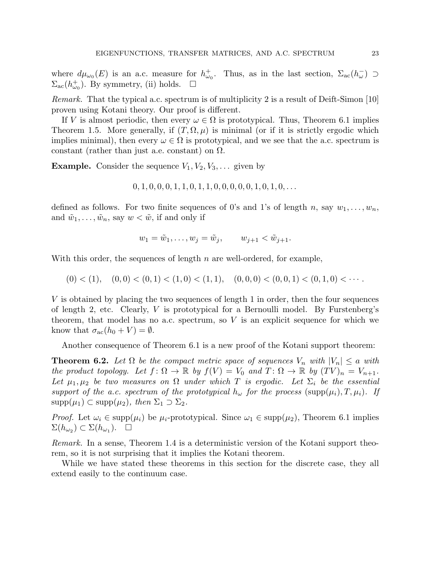where  $d\mu_{\omega_0}(E)$  is an a.c. measure for  $h_{\omega_0}^+$ . Thus, as in the last section,  $\Sigma_{ac}(h_{\omega}^-) \supset$  $\Sigma_{ac}(h_{\omega_0}^+)$ . By symmetry, (ii) holds.  $\square$ 

Remark. That the typical a.c. spectrum is of multiplicity 2 is a result of Deift-Simon [10] proven using Kotani theory. Our proof is different.

If V is almost periodic, then every  $\omega \in \Omega$  is prototypical. Thus, Theorem 6.1 implies Theorem 1.5. More generally, if  $(T, \Omega, \mu)$  is minimal (or if it is strictly ergodic which implies minimal), then every  $\omega \in \Omega$  is prototypical, and we see that the a.c. spectrum is constant (rather than just a.e. constant) on  $\Omega$ .

**Example.** Consider the sequence  $V_1, V_2, V_3, \ldots$  given by

$$
0, 1, 0, 0, 0, 1, 1, 0, 1, 1, 0, 0, 0, 0, 0, 1, 0, 1, 0, \ldots
$$

defined as follows. For two finite sequences of 0's and 1's of length n, say  $w_1, \ldots, w_n$ , and  $\tilde{w}_1, \ldots, \tilde{w}_n$ , say  $w < \tilde{w}$ , if and only if

$$
w_1 = \tilde{w}_1, \dots, w_j = \tilde{w}_j, \qquad w_{j+1} < \tilde{w}_{j+1}.
$$

With this order, the sequences of length  $n$  are well-ordered, for example,

 $(0) < (1), (0, 0) < (0, 1) < (1, 0) < (1, 1), (0, 0, 0) < (0, 0, 1) < (0, 1, 0) < \cdots$ 

V is obtained by placing the two sequences of length 1 in order, then the four sequences of length 2, etc. Clearly,  $V$  is prototypical for a Bernoulli model. By Furstenberg's theorem, that model has no a.c. spectrum, so  $V$  is an explicit sequence for which we know that  $\sigma_{ac}(h_0 + V) = \emptyset$ .

Another consequence of Theorem 6.1 is a new proof of the Kotani support theorem:

**Theorem 6.2.** Let  $\Omega$  be the compact metric space of sequences  $V_n$  with  $|V_n| \le a$  with the product topology. Let  $f: \Omega \to \mathbb{R}$  by  $f(V) = V_0$  and  $T: \Omega \to \mathbb{R}$  by  $(TV)_n = V_{n+1}$ . Let  $\mu_1, \mu_2$  be two measures on  $\Omega$  under which T is ergodic. Let  $\Sigma_i$  be the essential support of the a.c. spectrum of the prototypical  $h_{\omega}$  for the process (supp $(\mu_i), T, \mu_i$ ). If  $\text{supp}(\mu_1) \subset \text{supp}(\mu_2)$ , then  $\Sigma_1 \supset \Sigma_2$ .

*Proof.* Let  $\omega_i \in \text{supp}(\mu_i)$  be  $\mu_i$ -prototypical. Since  $\omega_1 \in \text{supp}(\mu_2)$ , Theorem 6.1 implies  $\Sigma(h_{\omega_2}) \subset \Sigma(h_{\omega_1}).$ 

Remark. In a sense, Theorem 1.4 is a deterministic version of the Kotani support theorem, so it is not surprising that it implies the Kotani theorem.

While we have stated these theorems in this section for the discrete case, they all extend easily to the continuum case.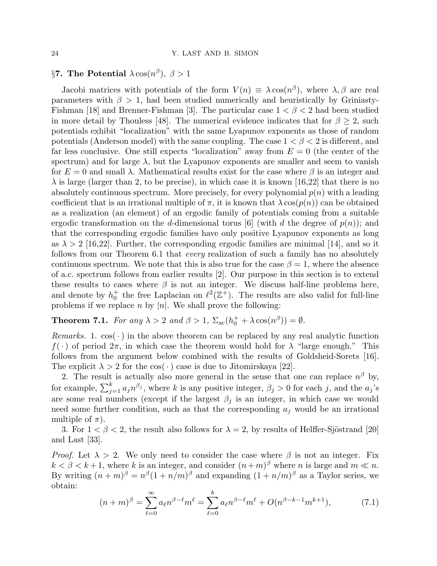# §7. The Potential  $\lambda \cos(n^{\beta}), \ \beta > 1$

Jacobi matrices with potentials of the form  $V(n) \equiv \lambda \cos(n^{\beta})$ , where  $\lambda, \beta$  are real parameters with  $\beta > 1$ , had been studied numerically and heuristically by Griniasty-Fishman [18] and Brenner-Fishman [3]. The particular case  $1 < \beta < 2$  had been studied in more detail by Thouless [48]. The numerical evidence indicates that for  $\beta \geq 2$ , such potentials exhibit "localization" with the same Lyapunov exponents as those of random potentials (Anderson model) with the same coupling. The case  $1 < \beta < 2$  is different, and far less conclusive. One still expects "localization" away from  $E = 0$  (the center of the spectrum) and for large  $\lambda$ , but the Lyapunov exponents are smaller and seem to vanish for  $E = 0$  and small  $\lambda$ . Mathematical results exist for the case where  $\beta$  is an integer and  $\lambda$  is large (larger than 2, to be precise), in which case it is known [16,22] that there is no absolutely continuous spectrum. More precisely, for every polynomial  $p(n)$  with a leading coefficient that is an irrational multiple of  $\pi$ , it is known that  $\lambda \cos(p(n))$  can be obtained as a realization (an element) of an ergodic family of potentials coming from a suitable ergodic transformation on the d-dimensional torus [6] (with d the degree of  $p(n)$ ); and that the corresponding ergodic families have only positive Lyapunov exponents as long as  $\lambda > 2$  [16,22]. Further, the corresponding ergodic families are minimal [14], and so it follows from our Theorem 6.1 that every realization of such a family has no absolutely continuous spectrum. We note that this is also true for the case  $\beta = 1$ , where the absence of a.c. spectrum follows from earlier results [2]. Our purpose in this section is to extend these results to cases where  $\beta$  is not an integer. We discuss half-line problems here, and denote by  $h_0^+$ <sup>+</sup> the free Laplacian on  $\ell^2(\mathbb{Z}^+)$ . The results are also valid for full-line problems if we replace n by  $|n|$ . We shall prove the following:

**Theorem 7.1.** For any  $\lambda > 2$  and  $\beta > 1$ ,  $\Sigma_{ac}(h_0^+ + \lambda \cos(n^\beta)) = \emptyset$ .

*Remarks.* 1.  $\cos(\cdot)$  in the above theorem can be replaced by any real analytic function  $f(\cdot)$  of period  $2\pi$ , in which case the theorem would hold for  $\lambda$  "large enough." This follows from the argument below combined with the results of Goldsheid-Sorets [16]. The explicit  $\lambda > 2$  for the cos( $\cdot$ ) case is due to Jitomirskaya [22].

2. The result is actually also more general in the sense that one can replace  $n^{\beta}$  by, for example,  $\sum_{j=1}^{k} a_j n^{\beta_j}$ , where k is any positive integer,  $\beta_j > 0$  for each j, and the  $a_j$ 's are some real numbers (except if the largest  $\beta_j$  is an integer, in which case we would need some further condition, such as that the corresponding  $a_j$  would be an irrational multiple of  $\pi$ ).

3. For  $1 < \beta < 2$ , the result also follows for  $\lambda = 2$ , by results of Helffer-Sjöstrand [20] and Last [33].

*Proof.* Let  $\lambda > 2$ . We only need to consider the case where  $\beta$  is not an integer. Fix  $k < \beta < k+1$ , where k is an integer, and consider  $(n+m)^\beta$  where n is large and  $m \ll n$ . By writing  $(n+m)^{\beta} = n^{\beta}(1+n/m)^{\beta}$  and expanding  $(1+n/m)^{\beta}$  as a Taylor series, we obtain:

$$
(n+m)^{\beta} = \sum_{\ell=0}^{\infty} a_{\ell} n^{\beta-\ell} m^{\ell} = \sum_{\ell=0}^{k} a_{\ell} n^{\beta-\ell} m^{\ell} + O(n^{\beta-k-1} m^{k+1}), \tag{7.1}
$$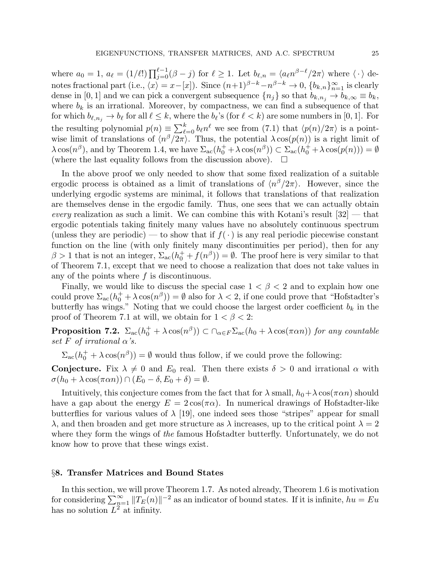where  $a_0 = 1$ ,  $a_\ell = (1/\ell!) \prod_{j=0}^{\ell-1} (\beta - j)$  for  $\ell \ge 1$ . Let  $b_{\ell,n} = \langle a_\ell n^{\beta - \ell} / 2\pi \rangle$  where  $\langle \cdot \rangle$  denotes fractional part (i.e.,  $\langle x \rangle = x-[x]$ ). Since  $(n+1)^{\beta-k}-n^{\beta-k} \to 0$ ,  $\{b_{k,n}\}_{n=1}^{\infty}$  is clearly dense in [0, 1] and we can pick a convergent subsequence  $\{n_j\}$  so that  $b_{k,n_j} \to b_{k,\infty} \equiv b_k$ , where  $b_k$  is an irrational. Moreover, by compactness, we can find a subsequence of that for which  $b_{\ell,n_j} \to b_{\ell}$  for all  $\ell \leq k$ , where the  $b_{\ell}$ 's (for  $\ell < k$ ) are some numbers in [0, 1]. For the resulting polynomial  $p(n) \equiv \sum_{\ell=0}^{k} b_{\ell} n^{\ell}$  we see from (7.1) that  $\langle p(n)/2\pi \rangle$  is a pointwise limit of translations of  $\langle n^{\beta}/2\pi \rangle$ . Thus, the potential  $\lambda \cos(p(n))$  is a right limit of  $\lambda \cos(n^{\beta})$ , and by Theorem 1.4, we have  $\Sigma_{ac}(h_0^+ + \lambda \cos(n^{\beta})) \subset \Sigma_{ac}(h_0^+ + \lambda \cos(p(n))) = \emptyset$ (where the last equality follows from the discussion above).  $\Box$ 

In the above proof we only needed to show that some fixed realization of a suitable ergodic process is obtained as a limit of translations of  $\langle n^{\beta}/2\pi \rangle$ . However, since the underlying ergodic systems are minimal, it follows that translations of that realization are themselves dense in the ergodic family. Thus, one sees that we can actually obtain every realization as such a limit. We can combine this with Kotani's result  $[32]$  — that ergodic potentials taking finitely many values have no absolutely continuous spectrum (unless they are periodic) — to show that if  $f(\cdot)$  is any real periodic piecewise constant function on the line (with only finitely many discontinuities per period), then for any  $\beta > 1$  that is not an integer,  $\Sigma_{ac}(h_0^+ + f(n^{\beta})) = \emptyset$ . The proof here is very similar to that of Theorem 7.1, except that we need to choose a realization that does not take values in any of the points where  $f$  is discontinuous.

Finally, we would like to discuss the special case  $1 < \beta < 2$  and to explain how one could prove  $\Sigma_{ac}(h_0^+ + \lambda \cos(n^\beta)) = \emptyset$  also for  $\lambda < 2$ , if one could prove that "Hofstadter's butterfly has wings." Noting that we could choose the largest order coefficient  $b_k$  in the proof of Theorem 7.1 at will, we obtain for  $1 < \beta < 2$ :

**Proposition 7.2.**  $\Sigma_{ac}(h_0^+ + \lambda \cos(n^\beta)) \subset \bigcap_{\alpha \in F} \Sigma_{ac}(h_0 + \lambda \cos(\pi \alpha n))$  for any countable set F of irrational  $\alpha$ 's.

 $\Sigma_{\rm ac}(h_0^+ + \lambda \cos(n^\beta)) = \emptyset$  would thus follow, if we could prove the following:

**Conjecture.** Fix  $\lambda \neq 0$  and  $E_0$  real. Then there exists  $\delta > 0$  and irrational  $\alpha$  with  $\sigma(h_0 + \lambda \cos(\pi \alpha n)) \cap (E_0 - \delta, E_0 + \delta) = \emptyset.$ 

Intuitively, this conjecture comes from the fact that for  $\lambda$  small,  $h_0 + \lambda \cos(\pi \alpha n)$  should have a gap about the energy  $E = 2\cos(\pi \alpha)$ . In numerical drawings of Hofstadter-like butterflies for various values of  $\lambda$  [19], one indeed sees those "stripes" appear for small  $λ$ , and then broaden and get more structure as  $λ$  increases, up to the critical point  $λ = 2$ where they form the wings of the famous Hofstadter butterfly. Unfortunately, we do not know how to prove that these wings exist.

#### §8. Transfer Matrices and Bound States

In this section, we will prove Theorem 1.7. As noted already, Theorem 1.6 is motivation for considering  $\sum_{n=1}^{\infty} ||T_E(n)||^{-2}$  as an indicator of bound states. If it is infinite,  $hu = Eu$ has no solution  $L^2$  at infinity.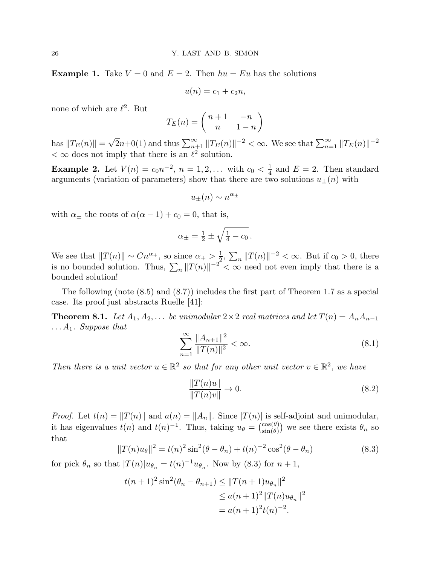**Example 1.** Take  $V = 0$  and  $E = 2$ . Then  $hu = Eu$  has the solutions

$$
u(n) = c_1 + c_2 n,
$$

none of which are  $\ell^2$ . But

$$
T_E(n) = \begin{pmatrix} n+1 & -n \\ n & 1-n \end{pmatrix}
$$

has  $||T_E(n)|| = \sqrt{2n+0(1)}$  and thus  $\sum_{n=1}^{\infty} ||T_E(n)||^{-2} < \infty$ . We see that  $\sum_{n=1}^{\infty} ||T_E(n)||^{-2}$  $< \infty$  does not imply that there is an  $\ell^2$  solution.

**Example 2.** Let  $V(n) = c_0 n^{-2}$ ,  $n = 1, 2, ...$  with  $c_0 < \frac{1}{4}$  $\frac{1}{4}$  and  $E = 2$ . Then standard arguments (variation of parameters) show that there are two solutions  $u_{\pm}(n)$  with

$$
u_{\pm}(n) \sim n^{\alpha_{\pm}}
$$

with  $\alpha_{\pm}$  the roots of  $\alpha(\alpha - 1) + c_0 = 0$ , that is,

$$
\alpha_{\pm} = \frac{1}{2} \pm \sqrt{\frac{1}{4} - c_0} \, .
$$

We see that  $||T(n)|| \sim Cn^{\alpha_+}$ , so since  $\alpha_+ > \frac{1}{2}$  $\frac{1}{2}$ ,  $\sum_{n} ||T(n)||^{-2} < \infty$ . But if  $c_0 > 0$ , there is no bounded solution. Thus,  $\sum_{n} ||T(n)||^{-2} < \infty$  need not even imply that there is a bounded solution!

The following (note (8.5) and (8.7)) includes the first part of Theorem 1.7 as a special case. Its proof just abstracts Ruelle [41]:

**Theorem 8.1.** Let  $A_1, A_2, \ldots$  be unimodular  $2 \times 2$  real matrices and let  $T(n) = A_n A_{n-1}$  $\ldots A_1$ . Suppose that

$$
\sum_{n=1}^{\infty} \frac{\|A_{n+1}\|^2}{\|T(n)\|^2} < \infty. \tag{8.1}
$$

Then there is a unit vector  $u \in \mathbb{R}^2$  so that for any other unit vector  $v \in \mathbb{R}^2$ , we have

$$
\frac{\|T(n)u\|}{\|T(n)v\|} \to 0.
$$
\n(8.2)

*Proof.* Let  $t(n) = ||T(n)||$  and  $a(n) = ||A_n||$ . Since  $|T(n)|$  is self-adjoint and unimodular, it has eigenvalues  $t(n)$  and  $t(n)^{-1}$ . Thus, taking  $u_{\theta} = \begin{pmatrix} \cos(\theta) \\ \sin(\theta) \end{pmatrix}$  $\binom{\cos(\theta)}{\sin(\theta)}$  we see there exists  $\theta_n$  so that

$$
||T(n)u_{\theta}||^{2} = t(n)^{2} \sin^{2}(\theta - \theta_{n}) + t(n)^{-2} \cos^{2}(\theta - \theta_{n})
$$
\n(8.3)

for pick  $\theta_n$  so that  $|T(n)|u_{\theta_n} = t(n)^{-1}u_{\theta_n}$ . Now by (8.3) for  $n+1$ ,

$$
t(n+1)^2 \sin^2(\theta_n - \theta_{n+1}) \le ||T(n+1)u_{\theta_n}||^2
$$
  
\n
$$
\le a(n+1)^2 ||T(n)u_{\theta_n}||^2
$$
  
\n
$$
= a(n+1)^2 t(n)^{-2}.
$$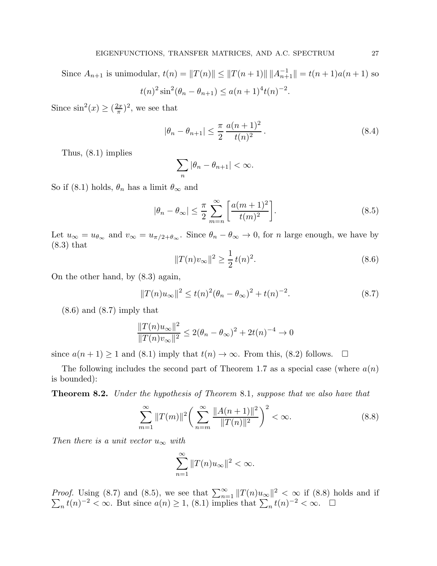Since  $A_{n+1}$  is unimodular,  $t(n) = ||T(n)|| \le ||T(n+1)|| ||A_{n+1}^{-1}|| = t(n+1)a(n+1)$  so

$$
t(n)^{2} \sin^{2}(\theta_{n} - \theta_{n+1}) \le a(n+1)^{4} t(n)^{-2}.
$$

Since  $\sin^2(x) \geq \left(\frac{2x}{\pi}\right)$  $(\frac{2x}{\pi})^2$ , we see that

$$
|\theta_n - \theta_{n+1}| \le \frac{\pi}{2} \frac{a(n+1)^2}{t(n)^2}.
$$
 (8.4)

Thus, (8.1) implies

$$
\sum_{n} |\theta_n - \theta_{n+1}| < \infty.
$$

So if (8.1) holds,  $\theta_n$  has a limit  $\theta_{\infty}$  and

$$
|\theta_n - \theta_{\infty}| \le \frac{\pi}{2} \sum_{m=n}^{\infty} \left[ \frac{a(m+1)^2}{t(m)^2} \right].
$$
 (8.5)

Let  $u_{\infty} = u_{\theta_{\infty}}$  and  $v_{\infty} = u_{\pi/2 + \theta_{\infty}}$ . Since  $\theta_n - \theta_{\infty} \to 0$ , for *n* large enough, we have by (8.3) that

$$
||T(n)v_{\infty}||^2 \ge \frac{1}{2}t(n)^2.
$$
\n(8.6)

On the other hand, by (8.3) again,

$$
||T(n)u_{\infty}||^2 \le t(n)^2(\theta_n - \theta_{\infty})^2 + t(n)^{-2}.
$$
 (8.7)

 $(8.6)$  and  $(8.7)$  imply that

$$
\frac{\|T(n)u_{\infty}\|^2}{\|T(n)v_{\infty}\|^2} \le 2(\theta_n - \theta_{\infty})^2 + 2t(n)^{-4} \to 0
$$

since  $a(n + 1) \ge 1$  and (8.1) imply that  $t(n) \to \infty$ . From this, (8.2) follows.  $\Box$ 

The following includes the second part of Theorem 1.7 as a special case (where  $a(n)$ ) is bounded):

Theorem 8.2. Under the hypothesis of Theorem 8.1, suppose that we also have that

$$
\sum_{m=1}^{\infty} ||T(m)||^2 \bigg( \sum_{n=m}^{\infty} \frac{||A(n+1)||^2}{||T(n)||^2} \bigg)^2 < \infty.
$$
 (8.8)

Then there is a unit vector  $u_{\infty}$  with

$$
\sum_{n=1}^{\infty} \|T(n)u_{\infty}\|^2 < \infty.
$$

*Proof.* Using (8.7) and (8.5), we see that  $\sum_{n=1}^{\infty} ||T(n)u_{\infty}||$  $\sum$  $2 < \infty$  if (8.8) holds and if  $_n t(n)^{-2} < \infty$ . But since  $a(n) \geq 1$ , (8.1) implies that  $\sum_n t(n)^{-2} < \infty$ .  $\Box$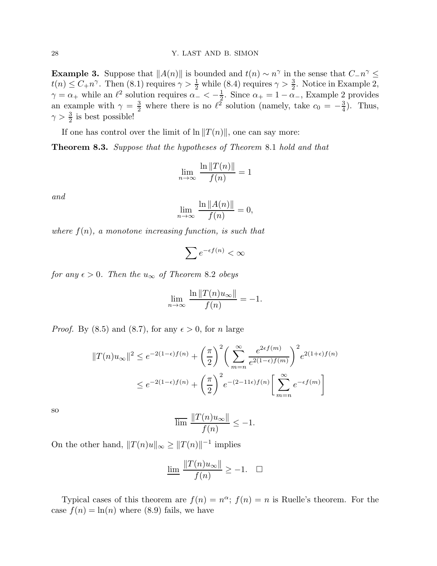**Example 3.** Suppose that  $||A(n)||$  is bounded and  $t(n) \sim n^{\gamma}$  in the sense that  $C_n \sim \frac{1}{2}$  $t(n) \leq C_+ n^{\gamma}$ . Then  $(8.1)$  requires  $\gamma > \frac{1}{2}$  while  $(8.4)$  requires  $\gamma > \frac{3}{2}$ . Notice in Example 2,  $\gamma = \alpha_+$  while an  $\ell^2$  solution requires  $\alpha_- < -\frac{1}{2}$  $\frac{1}{2}$ . Since  $\alpha_+ = 1 - \alpha_-,$  Example 2 provides an example with  $\gamma = \frac{3}{2}$  where there is no  $\ell^2$  solution (namely, take  $c_0 = -\frac{3}{4}$ )  $\frac{3}{4}$ ). Thus,  $\gamma > \frac{3}{2}$  is best possible!

If one has control over the limit of  $\ln \|T(n)\|$ , one can say more:

Theorem 8.3. Suppose that the hypotheses of Theorem 8.1 hold and that

$$
\lim_{n \to \infty} \frac{\ln \|T(n)\|}{f(n)} = 1
$$

and

$$
\lim_{n \to \infty} \frac{\ln ||A(n)||}{f(n)} = 0,
$$

where  $f(n)$ , a monotone increasing function, is such that

$$
\sum e^{-\epsilon f(n)} < \infty
$$

for any  $\epsilon > 0$ . Then the  $u_{\infty}$  of Theorem 8.2 obeys

$$
\lim_{n \to \infty} \frac{\ln \|T(n)u_{\infty}\|}{f(n)} = -1.
$$

*Proof.* By (8.5) and (8.7), for any  $\epsilon > 0$ , for n large

$$
||T(n)u_{\infty}||^2 \le e^{-2(1-\epsilon)f(n)} + \left(\frac{\pi}{2}\right)^2 \left(\sum_{m=n}^{\infty} \frac{e^{2\epsilon f(m)}}{e^{2(1-\epsilon)f(m)}}\right)^2 e^{2(1+\epsilon)f(n)}
$$
  

$$
\le e^{-2(1-\epsilon)f(n)} + \left(\frac{\pi}{2}\right)^2 e^{-(2-11\epsilon)f(n)} \left[\sum_{m=n}^{\infty} e^{-\epsilon f(m)}\right]
$$

so

$$
\overline{\lim} \frac{\|T(n)u_{\infty}\|}{f(n)} \le -1.
$$

On the other hand,  $||T(n)u||_{\infty} \ge ||T(n)||^{-1}$  implies

$$
\underline{\lim} \frac{\|T(n)u_{\infty}\|}{f(n)} \ge -1. \quad \Box
$$

Typical cases of this theorem are  $f(n) = n^{\alpha}$ ;  $f(n) = n$  is Ruelle's theorem. For the case  $f(n) = \ln(n)$  where (8.9) fails, we have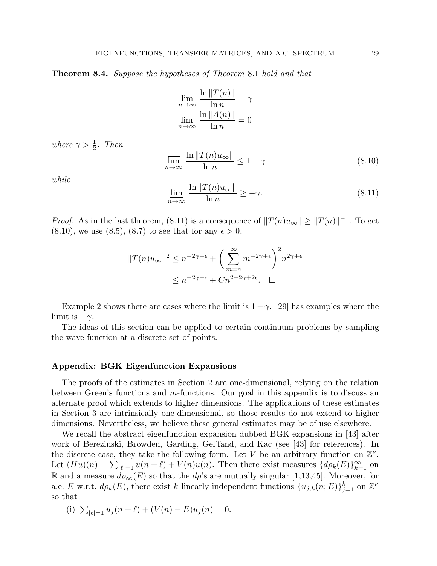**Theorem 8.4.** Suppose the hypotheses of Theorem 8.1 hold and that

$$
\lim_{n \to \infty} \frac{\ln ||T(n)||}{\ln n} = \gamma
$$

$$
\lim_{n \to \infty} \frac{\ln ||A(n)||}{\ln n} = 0
$$

where  $\gamma > \frac{1}{2}$ . Then

$$
\overline{\lim}_{n \to \infty} \frac{\ln \|T(n)u_{\infty}\|}{\ln n} \le 1 - \gamma \tag{8.10}
$$

while

$$
\lim_{n \to \infty} \frac{\ln \|T(n)u_{\infty}\|}{\ln n} \ge -\gamma.
$$
\n(8.11)

*Proof.* As in the last theorem, (8.11) is a consequence of  $||T(n)u_{\infty}|| \ge ||T(n)||^{-1}$ . To get  $(8.10)$ , we use  $(8.5)$ ,  $(8.7)$  to see that for any  $\epsilon > 0$ ,

$$
||T(n)u_{\infty}||^2 \le n^{-2\gamma+\epsilon} + \left(\sum_{m=n}^{\infty} m^{-2\gamma+\epsilon}\right)^2 n^{2\gamma+\epsilon}
$$
  

$$
\le n^{-2\gamma+\epsilon} + Cn^{2-2\gamma+2\epsilon}. \quad \Box
$$

Example 2 shows there are cases where the limit is  $1-\gamma$ . [29] has examples where the limit is  $-\gamma$ .

The ideas of this section can be applied to certain continuum problems by sampling the wave function at a discrete set of points.

#### Appendix: BGK Eigenfunction Expansions

The proofs of the estimates in Section 2 are one-dimensional, relying on the relation between Green's functions and  $m$ -functions. Our goal in this appendix is to discuss an alternate proof which extends to higher dimensions. The applications of these estimates in Section 3 are intrinsically one-dimensional, so those results do not extend to higher dimensions. Nevertheless, we believe these general estimates may be of use elsewhere.

We recall the abstract eigenfunction expansion dubbed BGK expansions in [43] after work of Berezinski, Browden, Garding, Gel'fand, and Kac (see [43] for references). In the discrete case, they take the following form. Let V be an arbitrary function on  $\mathbb{Z}^{\nu}$ . Let  $(Hu)(n) = \sum_{|\ell|=1} u(n+\ell) + V(n)u(n)$ . Then there exist measures  $\{d\rho_k(E)\}_{k=1}^{\infty}$  on R and a measure  $d\rho_{\infty}(E)$  so that the  $d\rho$ 's are mutually singular [1,13,45]. Moreover, for a.e. E w.r.t.  $d\rho_k(E)$ , there exist k linearly independent functions  $\{u_{j,k}(n;E)\}_{j=1}^k$  on  $\mathbb{Z}^{\nu}$ so that

(i) 
$$
\sum_{|\ell|=1} u_j(n+\ell) + (V(n)-E)u_j(n) = 0.
$$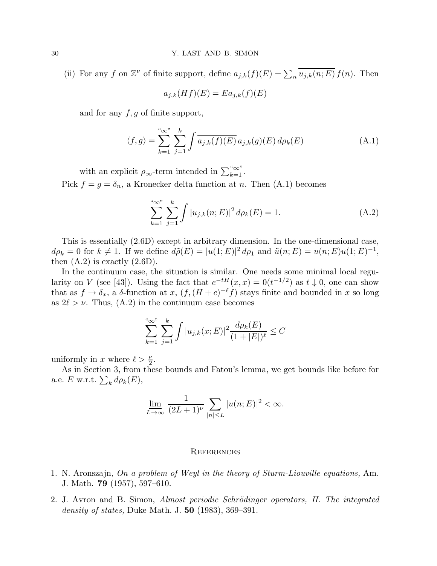(ii) For any f on  $\mathbb{Z}^{\nu}$  of finite support, define  $a_{j,k}(f)(E) = \sum_{n} \overline{u_{j,k}(n;E)} f(n)$ . Then

$$
a_{j,k}(Hf)(E) = Ea_{j,k}(f)(E)
$$

and for any  $f, g$  of finite support,

$$
\langle f, g \rangle = \sum_{k=1}^{\infty} \sum_{j=1}^{k} \int \overline{a_{j,k}(f)(E)} a_{j,k}(g)(E) d\rho_k(E)
$$
 (A.1)

with an explicit  $\rho_{\infty}$ -term intended in  $\sum_{k=1}^{\infty}$ . Pick  $f = g = \delta_n$ , a Kronecker delta function at n. Then (A.1) becomes

$$
\sum_{k=1}^{N} \sum_{j=1}^{k} \int |u_{j,k}(n;E)|^2 d\rho_k(E) = 1.
$$
 (A.2)

This is essentially (2.6D) except in arbitrary dimension. In the one-dimensional case,  $d\rho_k = 0$  for  $k \neq 1$ . If we define  $d\tilde{\rho}(E) = |u(1;E)|^2 d\rho_1$  and  $\tilde{u}(n;E) = u(n;E)u(1;E)^{-1}$ , then  $(A.2)$  is exactly  $(2.6D)$ .

In the continuum case, the situation is similar. One needs some minimal local regularity on V (see [43]). Using the fact that  $e^{-tH}(x, x) = 0(t^{-1/2})$  as  $t \downarrow 0$ , one can show that as  $f \to \delta_x$ , a  $\delta$ -function at  $x$ ,  $(f, (H + c)^{-\ell} f)$  stays finite and bounded in x so long as  $2\ell > \nu$ . Thus,  $(A.2)$  in the continuum case becomes

$$
\sum_{k=1}^{N} \sum_{j=1}^{k} \int |u_{j,k}(x;E)|^2 \frac{d\rho_k(E)}{(1+|E|)^{\ell}} \leq C
$$

uniformly in x where  $\ell > \frac{\nu}{2}$ .

As in Section 3, from these bounds and Fatou's lemma, we get bounds like before for a.e. E w.r.t.  $\sum_k d\rho_k(E)$ ,

$$
\underline{\lim}_{L \to \infty} \frac{1}{(2L+1)^{\nu}} \sum_{|n| \le L} |u(n;E)|^2 < \infty.
$$

#### **REFERENCES**

- 1. N. Aronszajn, On a problem of Weyl in the theory of Sturm-Liouville equations, Am. J. Math. 79 (1957), 597–610.
- 2. J. Avron and B. Simon, Almost periodic Schrödinger operators, II. The integrated *density of states*, Duke Math. J.  $50$  (1983), 369–391.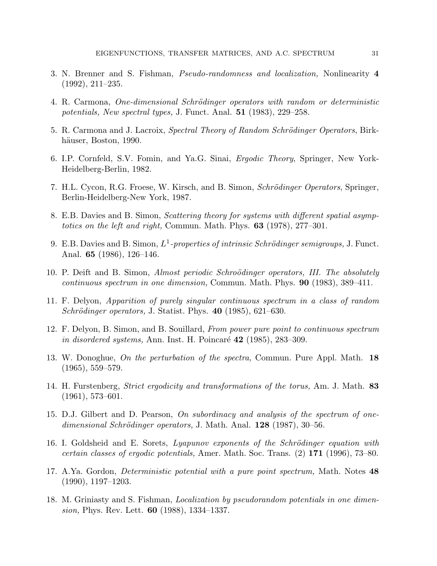- 3. N. Brenner and S. Fishman, Pseudo-randomness and localization, Nonlinearity 4 (1992), 211–235.
- 4. R. Carmona, One-dimensional Schrödinger operators with random or deterministic potentials, New spectral types, J. Funct. Anal. 51 (1983), 229–258.
- 5. R. Carmona and J. Lacroix, Spectral Theory of Random Schrödinger Operators, Birkhäuser, Boston, 1990.
- 6. I.P. Cornfeld, S.V. Fomin, and Ya.G. Sinai, Ergodic Theory, Springer, New York-Heidelberg-Berlin, 1982.
- 7. H.L. Cycon, R.G. Froese, W. Kirsch, and B. Simon, *Schrödinger Operators*, Springer, Berlin-Heidelberg-New York, 1987.
- 8. E.B. Davies and B. Simon, Scattering theory for systems with different spatial asymptotics on the left and right, Commun. Math. Phys.  $63$  (1978), 277–301.
- 9. E.B. Davies and B. Simon,  $L^1$ -properties of intrinsic Schrödinger semigroups, J. Funct. Anal. 65 (1986), 126–146.
- 10. P. Deift and B. Simon, Almost periodic Schroödinger operators, III. The absolutely continuous spectrum in one dimension, Commun. Math. Phys. 90 (1983), 389–411.
- 11. F. Delyon, Apparition of purely singular continuous spectrum in a class of random Schrödinger operators, J. Statist. Phys.  $40$  (1985), 621–630.
- 12. F. Delyon, B. Simon, and B. Souillard, From power pure point to continuous spectrum in disordered systems, Ann. Inst. H. Poincaré  $42$  (1985), 283–309.
- 13. W. Donoghue, On the perturbation of the spectra, Commun. Pure Appl. Math. 18 (1965), 559–579.
- 14. H. Furstenberg, *Strict ergodicity and transformations of the torus*, Am. J. Math. 83 (1961), 573–601.
- 15. D.J. Gilbert and D. Pearson, On subordinacy and analysis of the spectrum of one $dimensional Schrödinger operators, J. Math. Anal. 128 (1987), 30–56.$
- 16. I. Goldsheid and E. Sorets, Lyapunov exponents of the Schrödinger equation with certain classes of ergodic potentials, Amer. Math. Soc. Trans. (2) 171 (1996), 73–80.
- 17. A.Ya. Gordon, Deterministic potential with a pure point spectrum, Math. Notes 48 (1990), 1197–1203.
- 18. M. Griniasty and S. Fishman, Localization by pseudorandom potentials in one dimension, Phys. Rev. Lett. 60 (1988), 1334–1337.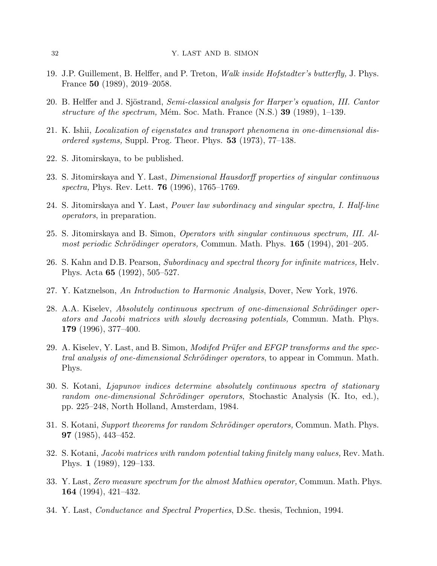- 19. J.P. Guillement, B. Helffer, and P. Treton, *Walk inside Hofstadter's butterfly*, J. Phys. France 50 (1989), 2019–2058.
- 20. B. Helffer and J. Sjöstrand, Semi-classical analysis for Harper's equation, III. Cantor structure of the spectrum, Mém. Soc. Math. France  $(N.S.)$  39 (1989), 1–139.
- 21. K. Ishii, Localization of eigenstates and transport phenomena in one-dimensional disordered systems, Suppl. Prog. Theor. Phys.  $53$  (1973), 77–138.
- 22. S. Jitomirskaya, to be published.
- 23. S. Jitomirskaya and Y. Last, Dimensional Hausdorff properties of singular continuous spectra, Phys. Rev. Lett. **76** (1996), 1765–1769.
- 24. S. Jitomirskaya and Y. Last, Power law subordinacy and singular spectra, I. Half-line operators, in preparation.
- 25. S. Jitomirskaya and B. Simon, Operators with singular continuous spectrum, III. Almost periodic Schrödinger operators, Commun. Math. Phys.  $165$  (1994), 201–205.
- 26. S. Kahn and D.B. Pearson, Subordinacy and spectral theory for infinite matrices, Helv. Phys. Acta 65 (1992), 505–527.
- 27. Y. Katznelson, An Introduction to Harmonic Analysis, Dover, New York, 1976.
- 28. A.A. Kiseley, Absolutely continuous spectrum of one-dimensional Schrödinger operators and Jacobi matrices with slowly decreasing potentials, Commun. Math. Phys. 179 (1996), 377–400.
- 29. A. Kiselev, Y. Last, and B. Simon, *Modifed Prüfer and EFGP transforms and the spec*tral analysis of one-dimensional Schrödinger operators, to appear in Commun. Math. Phys.
- 30. S. Kotani, Ljapunov indices determine absolutely continuous spectra of stationary random one-dimensional Schrödinger operators, Stochastic Analysis (K. Ito, ed.), pp. 225–248, North Holland, Amsterdam, 1984.
- 31. S. Kotani, Support theorems for random Schrödinger operators, Commun. Math. Phys. 97 (1985), 443–452.
- 32. S. Kotani, Jacobi matrices with random potential taking finitely many values, Rev. Math. Phys. 1 (1989), 129–133.
- 33. Y. Last, Zero measure spectrum for the almost Mathieu operator, Commun. Math. Phys. 164 (1994), 421–432.
- 34. Y. Last, Conductance and Spectral Properties, D.Sc. thesis, Technion, 1994.